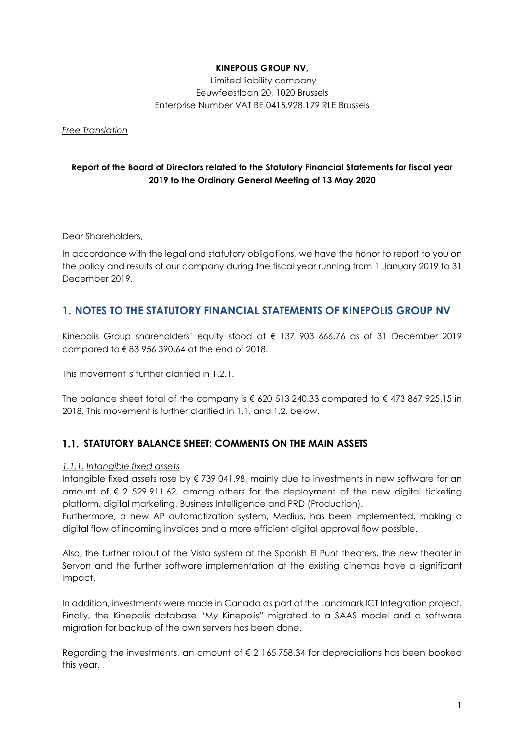## KINEPOLIS GROUP NV,

 Limited liability company Eeuwfeestlaan 20, 1020 Brussels Enterprise Number VAT BE 0415.928.179 RLE Brussels

Free Translation

#### Report of the Board of Directors related to the Statutory Financial Statements for fiscal year 2019 to the Ordinary General Meeting of 13 May 2020

Dear Shareholders,

In accordance with the legal and statutory obligations, we have the honor to report to you on the policy and results of our company during the fiscal year running from 1 January 2019 to 31 December 2019.

## 1. NOTES TO THE STATUTORY FINANCIAL STATEMENTS OF KINEPOLIS GROUP NV

Kinepolis Group shareholders' equity stood at  $\epsilon$  137 903 666,76 as of 31 December 2019 compared to  $\epsilon$  83 956 390.64 at the end of 2018.

This movement is further clarified in 1.2.1.

The balance sheet total of the company is  $\epsilon$  620 513 240.33 compared to  $\epsilon$  473 867 925.15 in 2018. This movement is further clarified in 1.1. and 1.2. below.

## 1.1. STATUTORY BALANCE SHEET: COMMENTS ON THE MAIN ASSETS

#### 1.1.1. Intangible fixed assets

Intangible fixed assets rose by € 739 041.98, mainly due to investments in new software for an amount of  $\epsilon$  2 529 911.62, among others for the deployment of the new digital ticketing platform, digital marketing, Business Intelligence and PRD (Production).

Furthermore, a new AP automatization system, Medius, has been implemented, making a digital flow of incoming invoices and a more efficient digital approval flow possible.

Also, the further rollout of the Vista system at the Spanish El Punt theaters, the new theater in Servon and the further software implementation at the existing cinemas have a significant impact.

In addition, investments were made in Canada as part of the Landmark ICT Integration project. Finally, the Kinepolis database "My Kinepolis" migrated to a SAAS model and a software migration for backup of the own servers has been done.

Regarding the investments, an amount of  $\epsilon$  2 165 758.34 for depreciations has been booked this year.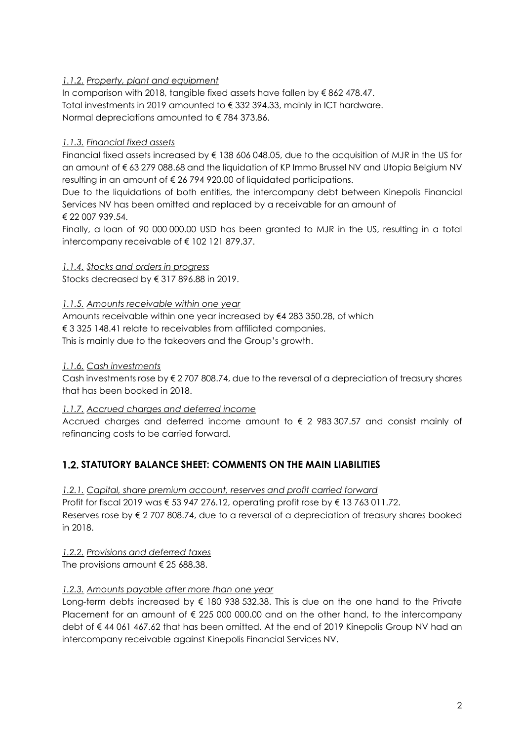## 1.1.2. Property, plant and equipment

In comparison with 2018, tangible fixed assets have fallen by € 862 478.47. Total investments in 2019 amounted to € 332 394.33, mainly in ICT hardware. Normal depreciations amounted to € 784 373.86.

#### 1.1.3. Financial fixed assets

Financial fixed assets increased by € 138 606 048.05, due to the acquisition of MJR in the US for an amount of € 63 279 088.68 and the liquidation of KP Immo Brussel NV and Utopia Belgium NV resulting in an amount of € 26 794 920.00 of liquidated participations.

Due to the liquidations of both entities, the intercompany debt between Kinepolis Financial Services NV has been omitted and replaced by a receivable for an amount of € 22 007 939.54.

Finally, a loan of 90 000 000.00 USD has been granted to MJR in the US, resulting in a total intercompany receivable of € 102 121 879.37.

1.1.4. Stocks and orders in progress

Stocks decreased by € 317 896.88 in 2019.

#### 1.1.5. Amounts receivable within one year

Amounts receivable within one year increased by €4 283 350.28, of which € 3 325 148.41 relate to receivables from affiliated companies. This is mainly due to the takeovers and the Group's growth.

#### 1.1.6. Cash investments

Cash investments rose by € 2 707 808.74, due to the reversal of a depreciation of treasury shares that has been booked in 2018.

#### 1.1.7. Accrued charges and deferred income

Accrued charges and deferred income amount to  $\epsilon$  2 983 307.57 and consist mainly of refinancing costs to be carried forward.

## 1.2. STATUTORY BALANCE SHEET: COMMENTS ON THE MAIN LIABILITIES

#### 1.2.1. Capital, share premium account, reserves and profit carried forward

Profit for fiscal 2019 was € 53 947 276.12, operating profit rose by € 13 763 011.72. Reserves rose by € 2 707 808.74, due to a reversal of a depreciation of treasury shares booked in 2018.

#### 1.2.2. Provisions and deferred taxes

The provisions amount  $\epsilon$  25 688.38.

#### 1.2.3. Amounts payable after more than one year

Long-term debts increased by  $\epsilon$  180 938 532.38. This is due on the one hand to the Private Placement for an amount of  $\epsilon$  225 000 000.00 and on the other hand, to the intercompany debt of € 44 061 467.62 that has been omitted. At the end of 2019 Kinepolis Group NV had an intercompany receivable against Kinepolis Financial Services NV.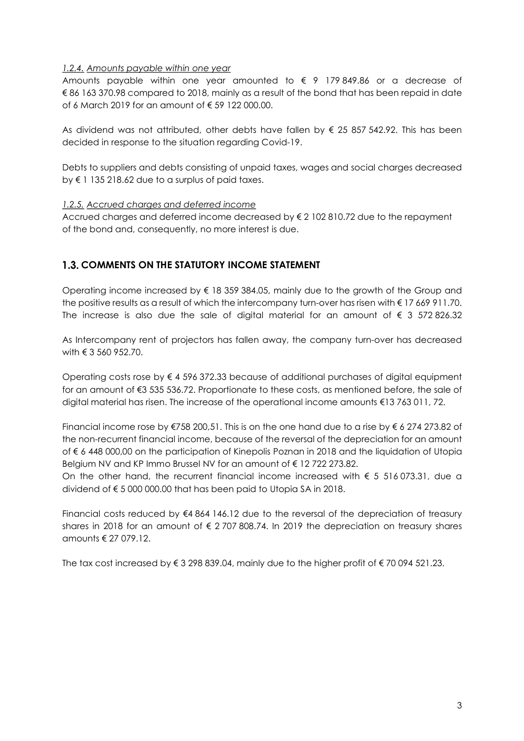#### 1.2.4. Amounts payable within one year

Amounts payable within one year amounted to  $\epsilon$  9 179 849.86 or a decrease of € 86 163 370.98 compared to 2018, mainly as a result of the bond that has been repaid in date of 6 March 2019 for an amount of € 59 122 000.00.

As dividend was not attributed, other debts have fallen by  $\epsilon$  25 857 542.92. This has been decided in response to the situation regarding Covid-19.

Debts to suppliers and debts consisting of unpaid taxes, wages and social charges decreased by € 1 135 218.62 due to a surplus of paid taxes.

#### 1.2.5. Accrued charges and deferred income

Accrued charges and deferred income decreased by  $\epsilon$  2 102 810.72 due to the repayment of the bond and, consequently, no more interest is due.

## 1.3. COMMENTS ON THE STATUTORY INCOME STATEMENT

Operating income increased by  $\epsilon$  18 359 384.05, mainly due to the growth of the Group and the positive results as a result of which the intercompany turn-over has risen with € 17 669 911.70. The increase is also due the sale of digital material for an amount of  $\epsilon$  3 572 826.32

As Intercompany rent of projectors has fallen away, the company turn-over has decreased with € 3 560 952.70.

Operating costs rose by  $\epsilon$  4 596 372.33 because of additional purchases of digital equipment for an amount of €3 535 536.72. Proportionate to these costs, as mentioned before, the sale of digital material has risen. The increase of the operational income amounts €13 763 011, 72.

Financial income rose by  $\xi$ 758 200,51. This is on the one hand due to a rise by  $\xi$  6 274 273.82 of the non-recurrent financial income, because of the reversal of the depreciation for an amount of € 6 448 000,00 on the participation of Kinepolis Poznan in 2018 and the liquidation of Utopia Belgium NV and KP Immo Brussel NV for an amount of  $\epsilon$  12 722 273.82.

On the other hand, the recurrent financial income increased with  $\epsilon$  5 516 073.31, due a dividend of  $\xi$  5 000 000.00 that has been paid to Utopia SA in 2018.

Financial costs reduced by €4 864 146.12 due to the reversal of the depreciation of treasury shares in 2018 for an amount of  $\epsilon$  2707 808.74. In 2019 the depreciation on treasury shares amounts € 27 079.12.

The tax cost increased by  $\xi$  3 298 839.04, mainly due to the higher profit of  $\xi$  70 094 521.23.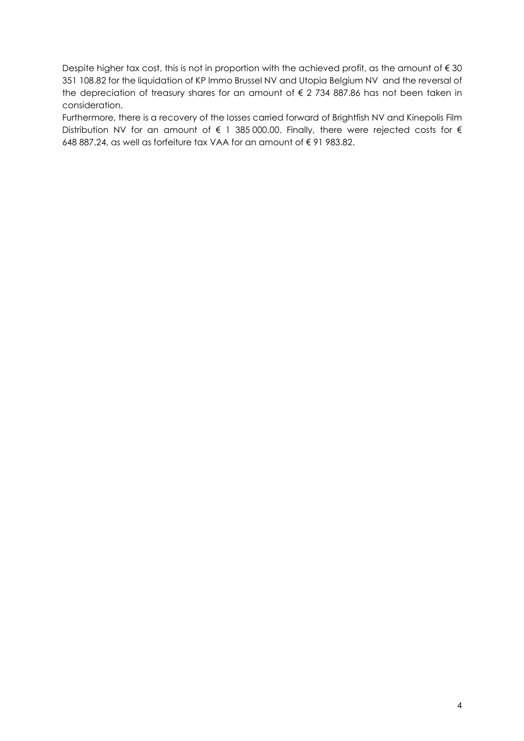Despite higher tax cost, this is not in proportion with the achieved profit, as the amount of  $\epsilon$  30 351 108.82 for the liquidation of KP Immo Brussel NV and Utopia Belgium NV and the reversal of the depreciation of treasury shares for an amount of  $\epsilon$  2 734 887.86 has not been taken in consideration.

Furthermore, there is a recovery of the losses carried forward of Brightfish NV and Kinepolis Film Distribution NV for an amount of € 1 385 000.00. Finally, there were rejected costs for € 648 887.24, as well as forfeiture tax VAA for an amount of € 91 983.82.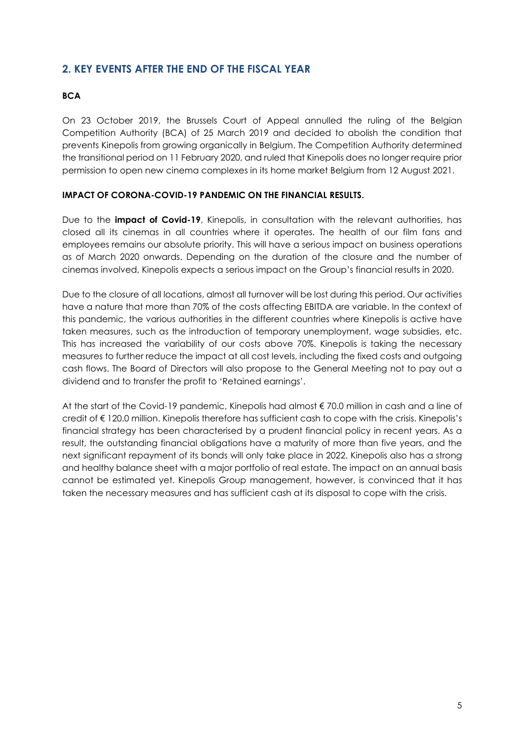# 2. KEY EVENTS AFTER THE END OF THE FISCAL YEAR

## **BCA**

On 23 October 2019, the Brussels Court of Appeal annulled the ruling of the Belgian Competition Authority (BCA) of 25 March 2019 and decided to abolish the condition that prevents Kinepolis from growing organically in Belgium. The Competition Authority determined the transitional period on 11 February 2020, and ruled that Kinepolis does no longer require prior permission to open new cinema complexes in its home market Belgium from 12 August 2021.

#### IMPACT OF CORONA-COVID-19 PANDEMIC ON THE FINANCIAL RESULTS.

Due to the **impact of Covid-19**, Kinepolis, in consultation with the relevant authorities, has closed all its cinemas in all countries where it operates. The health of our film fans and employees remains our absolute priority. This will have a serious impact on business operations as of March 2020 onwards. Depending on the duration of the closure and the number of cinemas involved, Kinepolis expects a serious impact on the Group's financial results in 2020.

Due to the closure of all locations, almost all turnover will be lost during this period. Our activities have a nature that more than 70% of the costs affecting EBITDA are variable. In the context of this pandemic, the various authorities in the different countries where Kinepolis is active have taken measures, such as the introduction of temporary unemployment, wage subsidies, etc. This has increased the variability of our costs above 70%. Kinepolis is taking the necessary measures to further reduce the impact at all cost levels, including the fixed costs and outgoing cash flows. The Board of Directors will also propose to the General Meeting not to pay out a dividend and to transfer the profit to 'Retained earnings'.

At the start of the Covid-19 pandemic, Kinepolis had almost € 70.0 million in cash and a line of credit of € 120.0 million. Kinepolis therefore has sufficient cash to cope with the crisis. Kinepolis's financial strategy has been characterised by a prudent financial policy in recent years. As a result, the outstanding financial obligations have a maturity of more than five years, and the next significant repayment of its bonds will only take place in 2022. Kinepolis also has a strong and healthy balance sheet with a major portfolio of real estate. The impact on an annual basis cannot be estimated yet. Kinepolis Group management, however, is convinced that it has taken the necessary measures and has sufficient cash at its disposal to cope with the crisis.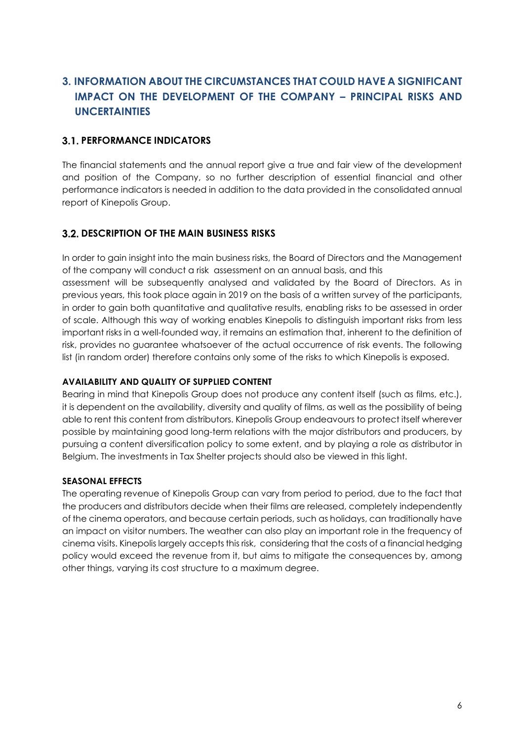# 3. INFORMATION ABOUT THE CIRCUMSTANCES THAT COULD HAVE A SIGNIFICANT IMPACT ON THE DEVELOPMENT OF THE COMPANY – PRINCIPAL RISKS AND UNCERTAINTIES

# **3.1. PERFORMANCE INDICATORS**

The financial statements and the annual report give a true and fair view of the development and position of the Company, so no further description of essential financial and other performance indicators is needed in addition to the data provided in the consolidated annual report of Kinepolis Group.

## **3.2. DESCRIPTION OF THE MAIN BUSINESS RISKS**

In order to gain insight into the main business risks, the Board of Directors and the Management of the company will conduct a risk assessment on an annual basis, and this assessment will be subsequently analysed and validated by the Board of Directors. As in previous years, this took place again in 2019 on the basis of a written survey of the participants, in order to gain both quantitative and qualitative results, enabling risks to be assessed in order of scale. Although this way of working enables Kinepolis to distinguish important risks from less important risks in a well-founded way, it remains an estimation that, inherent to the definition of risk, provides no guarantee whatsoever of the actual occurrence of risk events. The following list (in random order) therefore contains only some of the risks to which Kinepolis is exposed.

## AVAILABILITY AND QUALITY OF SUPPLIED CONTENT

Bearing in mind that Kinepolis Group does not produce any content itself (such as films, etc.), it is dependent on the availability, diversity and quality of films, as well as the possibility of being able to rent this content from distributors. Kinepolis Group endeavours to protect itself wherever possible by maintaining good long-term relations with the major distributors and producers, by pursuing a content diversification policy to some extent, and by playing a role as distributor in Belgium. The investments in Tax Shelter projects should also be viewed in this light.

#### SEASONAL EFFECTS

The operating revenue of Kinepolis Group can vary from period to period, due to the fact that the producers and distributors decide when their films are released, completely independently of the cinema operators, and because certain periods, such as holidays, can traditionally have an impact on visitor numbers. The weather can also play an important role in the frequency of cinema visits. Kinepolis largely accepts this risk, considering that the costs of a financial hedging policy would exceed the revenue from it, but aims to mitigate the consequences by, among other things, varying its cost structure to a maximum degree.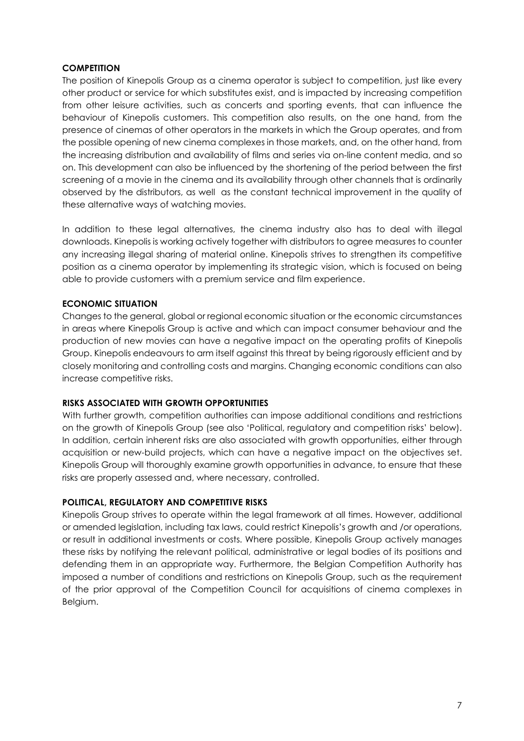#### **COMPETITION**

The position of Kinepolis Group as a cinema operator is subject to competition, just like every other product or service for which substitutes exist, and is impacted by increasing competition from other leisure activities, such as concerts and sporting events, that can influence the behaviour of Kinepolis customers. This competition also results, on the one hand, from the presence of cinemas of other operators in the markets in which the Group operates, and from the possible opening of new cinema complexes in those markets, and, on the other hand, from the increasing distribution and availability of films and series via on-line content media, and so on. This development can also be influenced by the shortening of the period between the first screening of a movie in the cinema and its availability through other channels that is ordinarily observed by the distributors, as well as the constant technical improvement in the quality of these alternative ways of watching movies.

In addition to these legal alternatives, the cinema industry also has to deal with illegal downloads. Kinepolis is working actively together with distributors to agree measures to counter any increasing illegal sharing of material online. Kinepolis strives to strengthen its competitive position as a cinema operator by implementing its strategic vision, which is focused on being able to provide customers with a premium service and film experience.

#### ECONOMIC SITUATION

Changes to the general, global or regional economic situation or the economic circumstances in areas where Kinepolis Group is active and which can impact consumer behaviour and the production of new movies can have a negative impact on the operating profits of Kinepolis Group. Kinepolis endeavours to arm itself against this threat by being rigorously efficient and by closely monitoring and controlling costs and margins. Changing economic conditions can also increase competitive risks.

#### RISKS ASSOCIATED WITH GROWTH OPPORTUNITIES

With further growth, competition authorities can impose additional conditions and restrictions on the growth of Kinepolis Group (see also 'Political, regulatory and competition risks' below). In addition, certain inherent risks are also associated with growth opportunities, either through acquisition or new-build projects, which can have a negative impact on the objectives set. Kinepolis Group will thoroughly examine growth opportunities in advance, to ensure that these risks are properly assessed and, where necessary, controlled.

#### POLITICAL, REGULATORY AND COMPETITIVE RISKS

Kinepolis Group strives to operate within the legal framework at all times. However, additional or amended legislation, including tax laws, could restrict Kinepolis's growth and /or operations, or result in additional investments or costs. Where possible, Kinepolis Group actively manages these risks by notifying the relevant political, administrative or legal bodies of its positions and defending them in an appropriate way. Furthermore, the Belgian Competition Authority has imposed a number of conditions and restrictions on Kinepolis Group, such as the requirement of the prior approval of the Competition Council for acquisitions of cinema complexes in Belgium.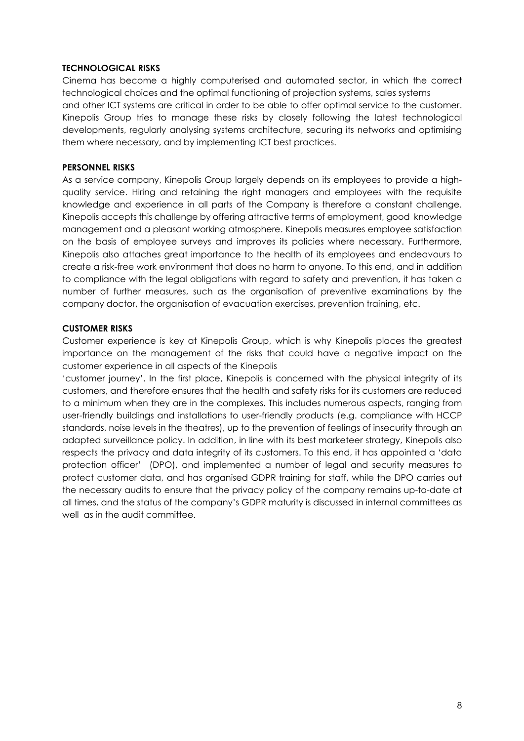#### TECHNOLOGICAL RISKS

Cinema has become a highly computerised and automated sector, in which the correct technological choices and the optimal functioning of projection systems, sales systems and other ICT systems are critical in order to be able to offer optimal service to the customer. Kinepolis Group tries to manage these risks by closely following the latest technological developments, regularly analysing systems architecture, securing its networks and optimising them where necessary, and by implementing ICT best practices.

#### PERSONNEL RISKS

As a service company, Kinepolis Group largely depends on its employees to provide a highquality service. Hiring and retaining the right managers and employees with the requisite knowledge and experience in all parts of the Company is therefore a constant challenge. Kinepolis accepts this challenge by offering attractive terms of employment, good knowledge management and a pleasant working atmosphere. Kinepolis measures employee satisfaction on the basis of employee surveys and improves its policies where necessary. Furthermore, Kinepolis also attaches great importance to the health of its employees and endeavours to create a risk-free work environment that does no harm to anyone. To this end, and in addition to compliance with the legal obligations with regard to safety and prevention, it has taken a number of further measures, such as the organisation of preventive examinations by the company doctor, the organisation of evacuation exercises, prevention training, etc.

#### CUSTOMER RISKS

Customer experience is key at Kinepolis Group, which is why Kinepolis places the greatest importance on the management of the risks that could have a negative impact on the customer experience in all aspects of the Kinepolis

'customer journey'. In the first place, Kinepolis is concerned with the physical integrity of its customers, and therefore ensures that the health and safety risks for its customers are reduced to a minimum when they are in the complexes. This includes numerous aspects, ranging from user-friendly buildings and installations to user-friendly products (e.g. compliance with HCCP standards, noise levels in the theatres), up to the prevention of feelings of insecurity through an adapted surveillance policy. In addition, in line with its best marketeer strategy, Kinepolis also respects the privacy and data integrity of its customers. To this end, it has appointed a 'data protection officer' (DPO), and implemented a number of legal and security measures to protect customer data, and has organised GDPR training for staff, while the DPO carries out the necessary audits to ensure that the privacy policy of the company remains up-to-date at all times, and the status of the company's GDPR maturity is discussed in internal committees as well as in the audit committee.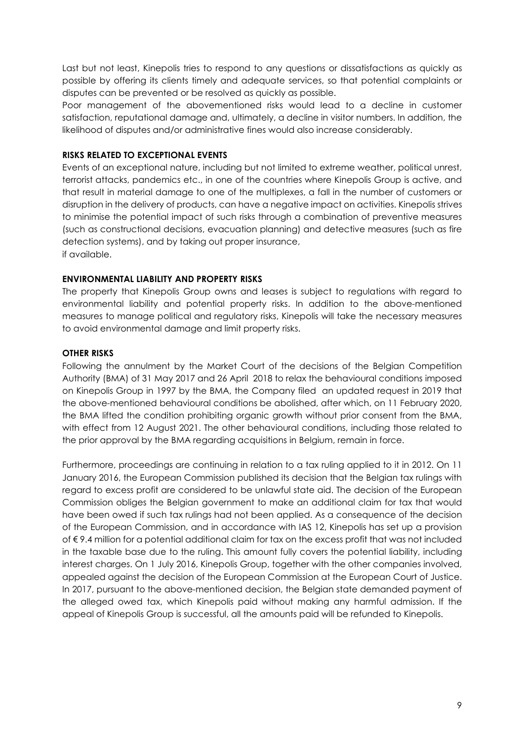Last but not least, Kinepolis tries to respond to any questions or dissatisfactions as quickly as possible by offering its clients timely and adequate services, so that potential complaints or disputes can be prevented or be resolved as quickly as possible.

Poor management of the abovementioned risks would lead to a decline in customer satisfaction, reputational damage and, ultimately, a decline in visitor numbers. In addition, the likelihood of disputes and/or administrative fines would also increase considerably.

#### RISKS RELATED TO EXCEPTIONAL EVENTS

Events of an exceptional nature, including but not limited to extreme weather, political unrest, terrorist attacks, pandemics etc., in one of the countries where Kinepolis Group is active, and that result in material damage to one of the multiplexes, a fall in the number of customers or disruption in the delivery of products, can have a negative impact on activities. Kinepolis strives to minimise the potential impact of such risks through a combination of preventive measures (such as constructional decisions, evacuation planning) and detective measures (such as fire detection systems), and by taking out proper insurance, if available.

#### ENVIRONMENTAL LIABILITY AND PROPERTY RISKS

The property that Kinepolis Group owns and leases is subject to regulations with regard to environmental liability and potential property risks. In addition to the above-mentioned measures to manage political and regulatory risks, Kinepolis will take the necessary measures to avoid environmental damage and limit property risks.

#### OTHER RISKS

Following the annulment by the Market Court of the decisions of the Belgian Competition Authority (BMA) of 31 May 2017 and 26 April 2018 to relax the behavioural conditions imposed on Kinepolis Group in 1997 by the BMA, the Company filed an updated request in 2019 that the above-mentioned behavioural conditions be abolished, after which, on 11 February 2020, the BMA lifted the condition prohibiting organic growth without prior consent from the BMA, with effect from 12 August 2021. The other behavioural conditions, including those related to the prior approval by the BMA regarding acquisitions in Belgium, remain in force.

Furthermore, proceedings are continuing in relation to a tax ruling applied to it in 2012. On 11 January 2016, the European Commission published its decision that the Belgian tax rulings with regard to excess profit are considered to be unlawful state aid. The decision of the European Commission obliges the Belgian government to make an additional claim for tax that would have been owed if such tax rulings had not been applied. As a consequence of the decision of the European Commission, and in accordance with IAS 12, Kinepolis has set up a provision of € 9.4 million for a potential additional claim for tax on the excess profit that was not included in the taxable base due to the ruling. This amount fully covers the potential liability, including interest charges. On 1 July 2016, Kinepolis Group, together with the other companies involved, appealed against the decision of the European Commission at the European Court of Justice. In 2017, pursuant to the above-mentioned decision, the Belgian state demanded payment of the alleged owed tax, which Kinepolis paid without making any harmful admission. If the appeal of Kinepolis Group is successful, all the amounts paid will be refunded to Kinepolis.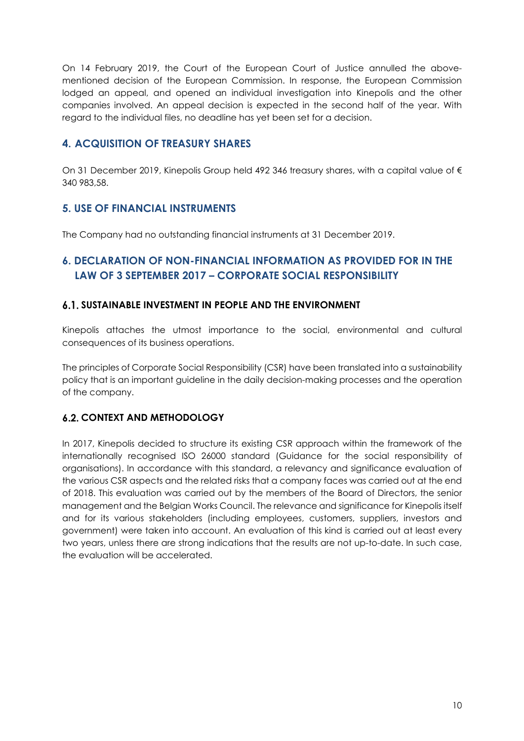On 14 February 2019, the Court of the European Court of Justice annulled the abovementioned decision of the European Commission. In response, the European Commission lodged an appeal, and opened an individual investigation into Kinepolis and the other companies involved. An appeal decision is expected in the second half of the year. With regard to the individual files, no deadline has yet been set for a decision.

# 4. ACQUISITION OF TREASURY SHARES

On 31 December 2019, Kinepolis Group held 492 346 treasury shares, with a capital value of € 340 983,58.

## 5. USE OF FINANCIAL INSTRUMENTS

The Company had no outstanding financial instruments at 31 December 2019.

# 6. DECLARATION OF NON-FINANCIAL INFORMATION AS PROVIDED FOR IN THE LAW OF 3 SEPTEMBER 2017 – CORPORATE SOCIAL RESPONSIBILITY

## SUSTAINABLE INVESTMENT IN PEOPLE AND THE ENVIRONMENT

Kinepolis attaches the utmost importance to the social, environmental and cultural consequences of its business operations.

The principles of Corporate Social Responsibility (CSR) have been translated into a sustainability policy that is an important guideline in the daily decision-making processes and the operation of the company.

## **6.2. CONTEXT AND METHODOLOGY**

In 2017, Kinepolis decided to structure its existing CSR approach within the framework of the internationally recognised ISO 26000 standard (Guidance for the social responsibility of organisations). In accordance with this standard, a relevancy and significance evaluation of the various CSR aspects and the related risks that a company faces was carried out at the end of 2018. This evaluation was carried out by the members of the Board of Directors, the senior management and the Belgian Works Council. The relevance and significance for Kinepolis itself and for its various stakeholders (including employees, customers, suppliers, investors and government) were taken into account. An evaluation of this kind is carried out at least every two years, unless there are strong indications that the results are not up-to-date. In such case, the evaluation will be accelerated.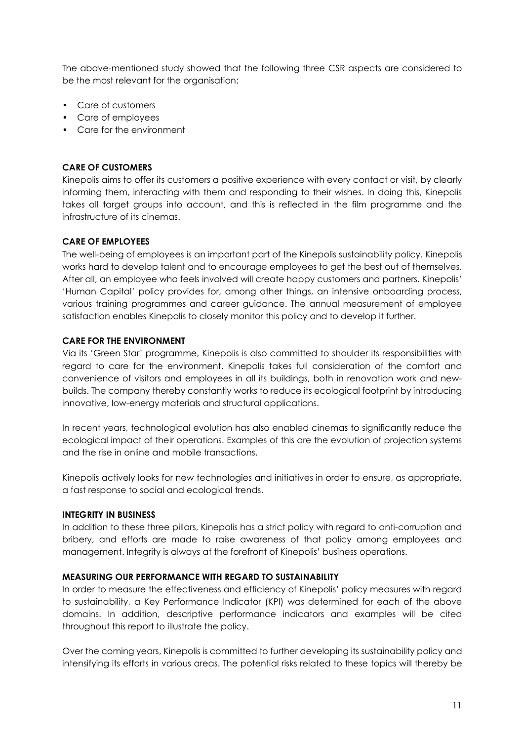The above-mentioned study showed that the following three CSR aspects are considered to be the most relevant for the organisation:

- Care of customers
- Care of employees
- Care for the environment

#### CARE OF CUSTOMERS

Kinepolis aims to offer its customers a positive experience with every contact or visit, by clearly informing them, interacting with them and responding to their wishes. In doing this, Kinepolis takes all target groups into account, and this is reflected in the film programme and the infrastructure of its cinemas.

#### CARE OF EMPLOYEES

The well-being of employees is an important part of the Kinepolis sustainability policy. Kinepolis works hard to develop talent and to encourage employees to get the best out of themselves. After all, an employee who feels involved will create happy customers and partners. Kinepolis' 'Human Capital' policy provides for, among other things, an intensive onboarding process, various training programmes and career guidance. The annual measurement of employee satisfaction enables Kinepolis to closely monitor this policy and to develop it further.

#### CARE FOR THE ENVIRONMENT

Via its 'Green Star' programme, Kinepolis is also committed to shoulder its responsibilities with regard to care for the environment. Kinepolis takes full consideration of the comfort and convenience of visitors and employees in all its buildings, both in renovation work and newbuilds. The company thereby constantly works to reduce its ecological footprint by introducing innovative, low-energy materials and structural applications.

In recent years, technological evolution has also enabled cinemas to significantly reduce the ecological impact of their operations. Examples of this are the evolution of projection systems and the rise in online and mobile transactions.

Kinepolis actively looks for new technologies and initiatives in order to ensure, as appropriate, a fast response to social and ecological trends.

#### INTEGRITY IN BUSINESS

In addition to these three pillars, Kinepolis has a strict policy with regard to anti-corruption and bribery, and efforts are made to raise awareness of that policy among employees and management. Integrity is always at the forefront of Kinepolis' business operations.

#### MEASURING OUR PERFORMANCE WITH REGARD TO SUSTAINABILITY

In order to measure the effectiveness and efficiency of Kinepolis' policy measures with regard to sustainability, a Key Performance Indicator (KPI) was determined for each of the above domains. In addition, descriptive performance indicators and examples will be cited throughout this report to illustrate the policy.

Over the coming years, Kinepolis is committed to further developing its sustainability policy and intensifying its efforts in various areas. The potential risks related to these topics will thereby be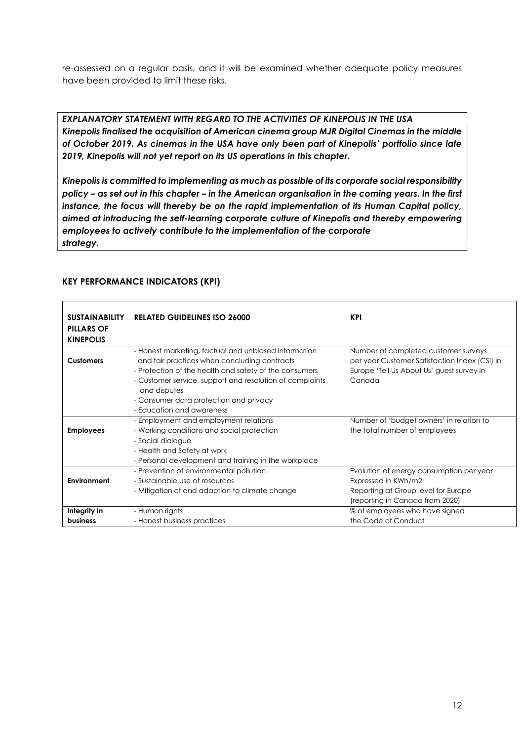re-assessed on a regular basis, and it will be examined whether adequate policy measures have been provided to limit these risks.

EXPLANATORY STATEMENT WITH REGARD TO THE ACTIVITIES OF KINEPOLIS IN THE USA Kinepolis finalised the acquisition of American cinema group MJR Digital Cinemas in the middle of October 2019. As cinemas in the USA have only been part of Kinepolis' portfolio since late 2019, Kinepolis will not yet report on its US operations in this chapter.

Kinepolis is committed to implementing as much as possible of its corporate social responsibility policy – as set out in this chapter – in the American organisation in the coming years. In the first instance, the focus will thereby be on the rapid implementation of its Human Capital policy, aimed at introducing the self-learning corporate culture of Kinepolis and thereby empowering employees to actively contribute to the implementation of the corporate strategy.

| <b>SUSTAINABILITY</b><br><b>PILLARS OF</b><br><b>KINEPOLIS</b> | <b>RELATED GUIDELINES ISO 26000</b>                                                                  | <b>KPI</b>                                                                            |
|----------------------------------------------------------------|------------------------------------------------------------------------------------------------------|---------------------------------------------------------------------------------------|
| <b>Customers</b>                                               | - Honest marketing, factual and unbiased information<br>and fair practices when concluding contracts | Number of completed customer surveys<br>per year Customer Satisfaction Index (CSI) in |
|                                                                | - Protection of the health and safety of the consumers                                               | Europe 'Tell Us About Us' guest survey in                                             |
|                                                                | - Customer service, support and resolution of complaints<br>and disputes                             | Canada                                                                                |
|                                                                | - Consumer data protection and privacy                                                               |                                                                                       |
|                                                                | - Education and awareness                                                                            |                                                                                       |
|                                                                | - Employment and employment relations                                                                | Number of 'budget owners' in relation to                                              |
| <b>Employees</b>                                               | - Working conditions and social protection                                                           | the total number of employees                                                         |
|                                                                | - Social dialogue                                                                                    |                                                                                       |
|                                                                | - Health and Safety at work                                                                          |                                                                                       |
|                                                                | - Personal development and training in the workplace                                                 |                                                                                       |
|                                                                | - Prevention of environmental pollution                                                              | Evolution of energy consumption per year                                              |
| Environment                                                    | - Sustainable use of resources                                                                       | Expressed in KWh/m2                                                                   |
|                                                                | - Mitigation of and adaption to climate change                                                       | Reporting at Group level for Europe                                                   |
|                                                                |                                                                                                      | (reporting in Canada from 2020)                                                       |
| Integrity in                                                   | - Human rights                                                                                       | % of employees who have signed                                                        |
| <b>business</b>                                                | - Honest business practices                                                                          | the Code of Conduct                                                                   |

## KEY PERFORMANCE INDICATORS (KPI)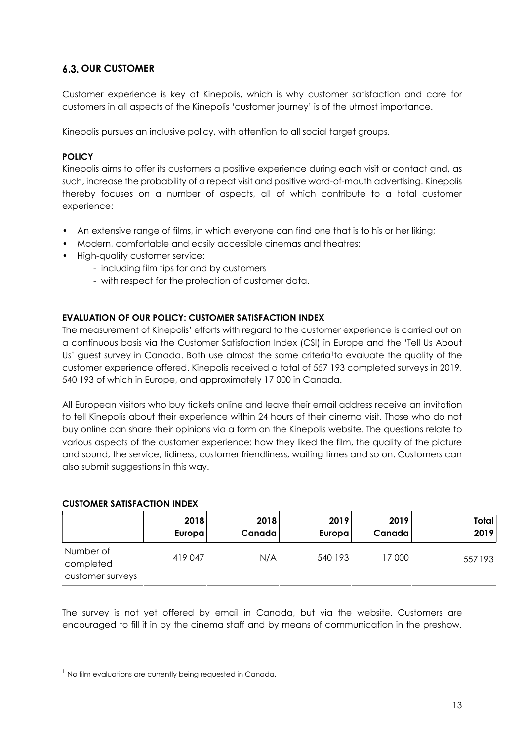# **6.3. OUR CUSTOMER**

Customer experience is key at Kinepolis, which is why customer satisfaction and care for customers in all aspects of the Kinepolis 'customer journey' is of the utmost importance.

Kinepolis pursues an inclusive policy, with attention to all social target groups.

## **POLICY**

Kinepolis aims to offer its customers a positive experience during each visit or contact and, as such, increase the probability of a repeat visit and positive word-of-mouth advertising. Kinepolis thereby focuses on a number of aspects, all of which contribute to a total customer experience:

- An extensive range of films, in which everyone can find one that is to his or her liking;
- Modern, comfortable and easily accessible cinemas and theatres;
- High-quality customer service:
	- including film tips for and by customers
	- with respect for the protection of customer data.

## EVALUATION OF OUR POLICY: CUSTOMER SATISFACTION INDEX

The measurement of Kinepolis' efforts with regard to the customer experience is carried out on a continuous basis via the Customer Satisfaction Index (CSI) in Europe and the 'Tell Us About Us' guest survey in Canada. Both use almost the same criteria<sup>1</sup>to evaluate the quality of the customer experience offered. Kinepolis received a total of 557 193 completed surveys in 2019, 540 193 of which in Europe, and approximately 17 000 in Canada.

All European visitors who buy tickets online and leave their email address receive an invitation to tell Kinepolis about their experience within 24 hours of their cinema visit. Those who do not buy online can share their opinions via a form on the Kinepolis website. The questions relate to various aspects of the customer experience: how they liked the film, the quality of the picture and sound, the service, tidiness, customer friendliness, waiting times and so on. Customers can also submit suggestions in this way.

#### CUSTOMER SATISFACTION INDEX

|                                            | 2018    | 2018   | 2019    | 2019   | Total  |
|--------------------------------------------|---------|--------|---------|--------|--------|
|                                            | Europa  | Canada | Europa! | Canada | 2019   |
| Number of<br>completed<br>customer surveys | 419 047 | N/A    | 540 193 | 17 000 | 557193 |

The survey is not yet offered by email in Canada, but via the website. Customers are encouraged to fill it in by the cinema staff and by means of communication in the preshow.

 $1$  No film evaluations are currently being requested in Canada.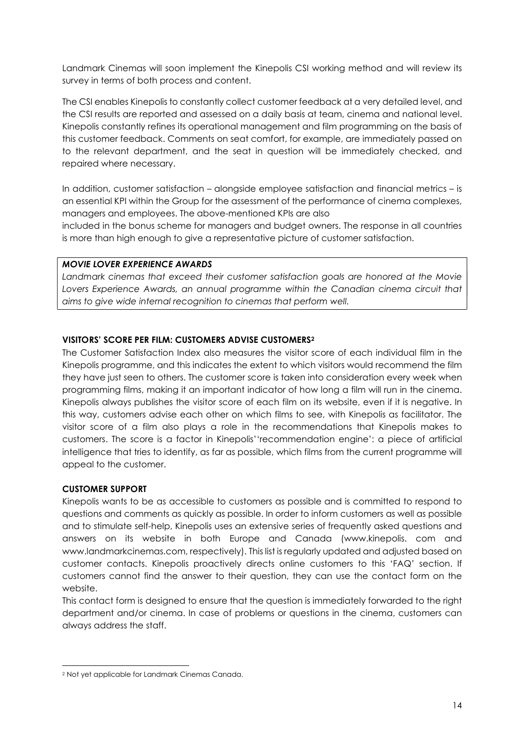Landmark Cinemas will soon implement the Kinepolis CSI working method and will review its survey in terms of both process and content.

The CSI enables Kinepolis to constantly collect customer feedback at a very detailed level, and the CSI results are reported and assessed on a daily basis at team, cinema and national level. Kinepolis constantly refines its operational management and film programming on the basis of this customer feedback. Comments on seat comfort, for example, are immediately passed on to the relevant department, and the seat in question will be immediately checked, and repaired where necessary.

In addition, customer satisfaction – alongside employee satisfaction and financial metrics – is an essential KPI within the Group for the assessment of the performance of cinema complexes, managers and employees. The above-mentioned KPIs are also

included in the bonus scheme for managers and budget owners. The response in all countries is more than high enough to give a representative picture of customer satisfaction.

#### MOVIE LOVER EXPERIENCE AWARDS

Landmark cinemas that exceed their customer satisfaction goals are honored at the Movie Lovers Experience Awards, an annual programme within the Canadian cinema circuit that aims to give wide internal recognition to cinemas that perform well.

#### VISITORS' SCORE PER FILM: CUSTOMERS ADVISE CUSTOMERS<sup>2</sup>

The Customer Satisfaction Index also measures the visitor score of each individual film in the Kinepolis programme, and this indicates the extent to which visitors would recommend the film they have just seen to others. The customer score is taken into consideration every week when programming films, making it an important indicator of how long a film will run in the cinema. Kinepolis always publishes the visitor score of each film on its website, even if it is negative. In this way, customers advise each other on which films to see, with Kinepolis as facilitator. The visitor score of a film also plays a role in the recommendations that Kinepolis makes to customers. The score is a factor in Kinepolis''recommendation engine': a piece of artificial intelligence that tries to identify, as far as possible, which films from the current programme will appeal to the customer.

#### CUSTOMER SUPPORT

Kinepolis wants to be as accessible to customers as possible and is committed to respond to questions and comments as quickly as possible. In order to inform customers as well as possible and to stimulate self-help, Kinepolis uses an extensive series of frequently asked questions and answers on its website in both Europe and Canada (www.kinepolis. com and www.landmarkcinemas.com, respectively). This list is regularly updated and adjusted based on customer contacts. Kinepolis proactively directs online customers to this 'FAQ' section. If customers cannot find the answer to their question, they can use the contact form on the website.

This contact form is designed to ensure that the question is immediately forwarded to the right department and/or cinema. In case of problems or questions in the cinema, customers can always address the staff.

<sup>2</sup> Not yet applicable for Landmark Cinemas Canada.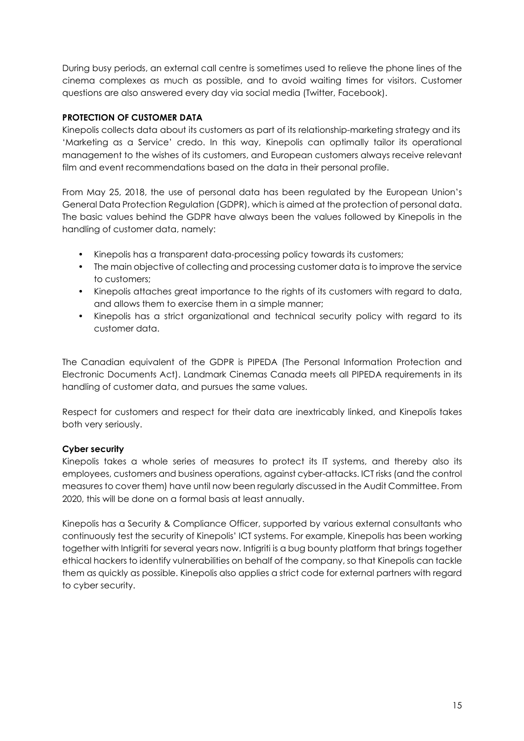During busy periods, an external call centre is sometimes used to relieve the phone lines of the cinema complexes as much as possible, and to avoid waiting times for visitors. Customer questions are also answered every day via social media (Twitter, Facebook).

## PROTECTION OF CUSTOMER DATA

Kinepolis collects data about its customers as part of its relationship-marketing strategy and its 'Marketing as a Service' credo. In this way, Kinepolis can optimally tailor its operational management to the wishes of its customers, and European customers always receive relevant film and event recommendations based on the data in their personal profile.

From May 25, 2018, the use of personal data has been regulated by the European Union's General Data Protection Regulation (GDPR), which is aimed at the protection of personal data. The basic values behind the GDPR have always been the values followed by Kinepolis in the handling of customer data, namely:

- Kinepolis has a transparent data-processing policy towards its customers;
- The main objective of collecting and processing customer data is to improve the service to customers;
- Kinepolis attaches great importance to the rights of its customers with regard to data, and allows them to exercise them in a simple manner;
- Kinepolis has a strict organizational and technical security policy with regard to its customer data.

The Canadian equivalent of the GDPR is PIPEDA (The Personal Information Protection and Electronic Documents Act). Landmark Cinemas Canada meets all PIPEDA requirements in its handling of customer data, and pursues the same values.

Respect for customers and respect for their data are inextricably linked, and Kinepolis takes both very seriously.

#### Cyber security

Kinepolis takes a whole series of measures to protect its IT systems, and thereby also its employees, customers and business operations, against cyber-attacks. ICT risks (and the control measures to cover them) have until now been regularly discussed in the Audit Committee. From 2020, this will be done on a formal basis at least annually.

Kinepolis has a Security & Compliance Officer, supported by various external consultants who continuously test the security of Kinepolis' ICT systems. For example, Kinepolis has been working together with Intigriti for several years now. Intigriti is a bug bounty platform that brings together ethical hackers to identify vulnerabilities on behalf of the company, so that Kinepolis can tackle them as quickly as possible. Kinepolis also applies a strict code for external partners with regard to cyber security.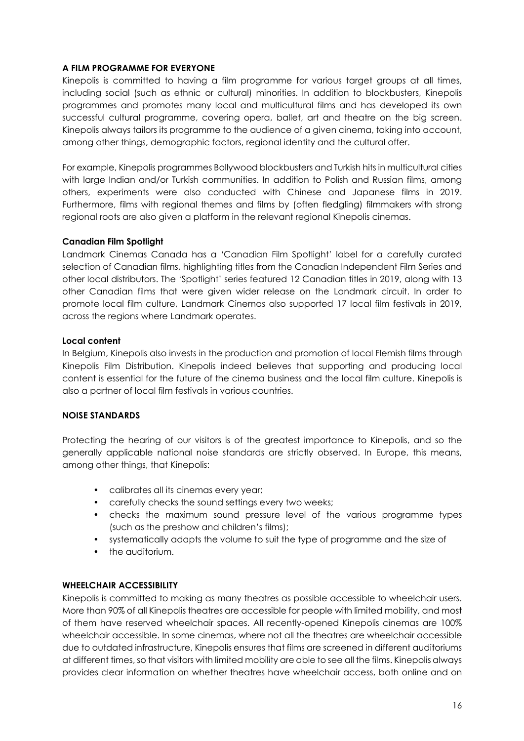#### A FILM PROGRAMME FOR EVERYONE

Kinepolis is committed to having a film programme for various target groups at all times, including social (such as ethnic or cultural) minorities. In addition to blockbusters, Kinepolis programmes and promotes many local and multicultural films and has developed its own successful cultural programme, covering opera, ballet, art and theatre on the big screen. Kinepolis always tailors its programme to the audience of a given cinema, taking into account, among other things, demographic factors, regional identity and the cultural offer.

For example, Kinepolis programmes Bollywood blockbusters and Turkish hits in multicultural cities with large Indian and/or Turkish communities. In addition to Polish and Russian films, among others, experiments were also conducted with Chinese and Japanese films in 2019. Furthermore, films with regional themes and films by (often fledgling) filmmakers with strong regional roots are also given a platform in the relevant regional Kinepolis cinemas.

#### Canadian Film Spotlight

Landmark Cinemas Canada has a 'Canadian Film Spotlight' label for a carefully curated selection of Canadian films, highlighting titles from the Canadian Independent Film Series and other local distributors. The 'Spotlight' series featured 12 Canadian titles in 2019, along with 13 other Canadian films that were given wider release on the Landmark circuit. In order to promote local film culture, Landmark Cinemas also supported 17 local film festivals in 2019, across the regions where Landmark operates.

#### Local content

In Belgium, Kinepolis also invests in the production and promotion of local Flemish films through Kinepolis Film Distribution. Kinepolis indeed believes that supporting and producing local content is essential for the future of the cinema business and the local film culture. Kinepolis is also a partner of local film festivals in various countries.

#### NOISE STANDARDS

Protecting the hearing of our visitors is of the greatest importance to Kinepolis, and so the generally applicable national noise standards are strictly observed. In Europe, this means, among other things, that Kinepolis:

- calibrates all its cinemas every year;
- carefully checks the sound settings every two weeks;
- checks the maximum sound pressure level of the various programme types (such as the preshow and children's films);
- systematically adapts the volume to suit the type of programme and the size of
- the auditorium.

#### WHEELCHAIR ACCESSIBILITY

Kinepolis is committed to making as many theatres as possible accessible to wheelchair users. More than 90% of all Kinepolis theatres are accessible for people with limited mobility, and most of them have reserved wheelchair spaces. All recently-opened Kinepolis cinemas are 100% wheelchair accessible. In some cinemas, where not all the theatres are wheelchair accessible due to outdated infrastructure, Kinepolis ensures that films are screened in different auditoriums at different times, so that visitors with limited mobility are able to see all the films. Kinepolis always provides clear information on whether theatres have wheelchair access, both online and on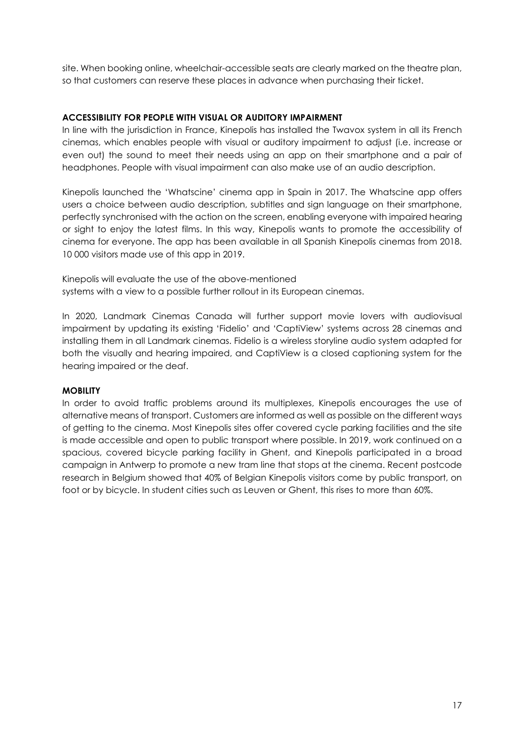site. When booking online, wheelchair-accessible seats are clearly marked on the theatre plan, so that customers can reserve these places in advance when purchasing their ticket.

#### ACCESSIBILITY FOR PEOPLE WITH VISUAL OR AUDITORY IMPAIRMENT

In line with the jurisdiction in France, Kinepolis has installed the Twavox system in all its French cinemas, which enables people with visual or auditory impairment to adjust (i.e. increase or even out) the sound to meet their needs using an app on their smartphone and a pair of headphones. People with visual impairment can also make use of an audio description.

Kinepolis launched the 'Whatscine' cinema app in Spain in 2017. The Whatscine app offers users a choice between audio description, subtitles and sign language on their smartphone, perfectly synchronised with the action on the screen, enabling everyone with impaired hearing or sight to enjoy the latest films. In this way, Kinepolis wants to promote the accessibility of cinema for everyone. The app has been available in all Spanish Kinepolis cinemas from 2018. 10 000 visitors made use of this app in 2019.

Kinepolis will evaluate the use of the above-mentioned systems with a view to a possible further rollout in its European cinemas.

In 2020, Landmark Cinemas Canada will further support movie lovers with audiovisual impairment by updating its existing 'Fidelio' and 'CaptiView' systems across 28 cinemas and installing them in all Landmark cinemas. Fidelio is a wireless storyline audio system adapted for both the visually and hearing impaired, and CaptiView is a closed captioning system for the hearing impaired or the deaf.

#### **MOBILITY**

In order to avoid traffic problems around its multiplexes, Kinepolis encourages the use of alternative means of transport. Customers are informed as well as possible on the different ways of getting to the cinema. Most Kinepolis sites offer covered cycle parking facilities and the site is made accessible and open to public transport where possible. In 2019, work continued on a spacious, covered bicycle parking facility in Ghent, and Kinepolis participated in a broad campaign in Antwerp to promote a new tram line that stops at the cinema. Recent postcode research in Belgium showed that 40% of Belgian Kinepolis visitors come by public transport, on foot or by bicycle. In student cities such as Leuven or Ghent, this rises to more than 60%.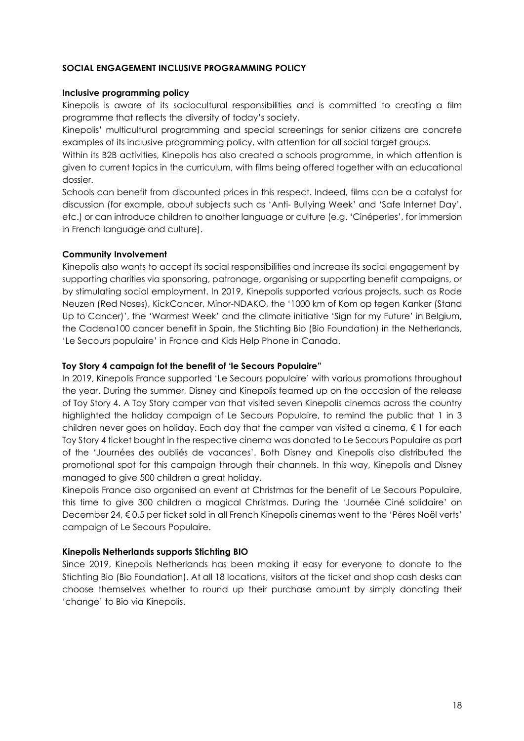#### SOCIAL ENGAGEMENT INCLUSIVE PROGRAMMING POLICY

#### Inclusive programming policy

Kinepolis is aware of its sociocultural responsibilities and is committed to creating a film programme that reflects the diversity of today's society.

Kinepolis' multicultural programming and special screenings for senior citizens are concrete examples of its inclusive programming policy, with attention for all social target groups.

Within its B2B activities, Kinepolis has also created a schools programme, in which attention is given to current topics in the curriculum, with films being offered together with an educational dossier.

Schools can benefit from discounted prices in this respect. Indeed, films can be a catalyst for discussion (for example, about subjects such as 'Anti- Bullying Week' and 'Safe Internet Day', etc.) or can introduce children to another language or culture (e.g. 'Cinéperles', for immersion in French language and culture).

#### Community Involvement

Kinepolis also wants to accept its social responsibilities and increase its social engagement by supporting charities via sponsoring, patronage, organising or supporting benefit campaigns, or by stimulating social employment. In 2019, Kinepolis supported various projects, such as Rode Neuzen (Red Noses), KickCancer, Minor-NDAKO, the '1000 km of Kom op tegen Kanker (Stand Up to Cancer)', the 'Warmest Week' and the climate initiative 'Sign for my Future' in Belgium, the Cadena100 cancer benefit in Spain, the Stichting Bio (Bio Foundation) in the Netherlands, 'Le Secours populaire' in France and Kids Help Phone in Canada.

#### Toy Story 4 campaign fot the benefit of 'le Secours Populaire"

In 2019, Kinepolis France supported 'Le Secours populaire' with various promotions throughout the year. During the summer, Disney and Kinepolis teamed up on the occasion of the release of Toy Story 4. A Toy Story camper van that visited seven Kinepolis cinemas across the country highlighted the holiday campaign of Le Secours Populaire, to remind the public that 1 in 3 children never goes on holiday. Each day that the camper van visited a cinema, € 1 for each Toy Story 4 ticket bought in the respective cinema was donated to Le Secours Populaire as part of the 'Journées des oubliés de vacances'. Both Disney and Kinepolis also distributed the promotional spot for this campaign through their channels. In this way, Kinepolis and Disney managed to give 500 children a great holiday.

Kinepolis France also organised an event at Christmas for the benefit of Le Secours Populaire, this time to give 300 children a magical Christmas. During the 'Journée Ciné solidaire' on December 24, € 0.5 per ticket sold in all French Kinepolis cinemas went to the 'Pères Noël verts' campaign of Le Secours Populaire.

#### Kinepolis Netherlands supports Stichting BIO

Since 2019, Kinepolis Netherlands has been making it easy for everyone to donate to the Stichting Bio (Bio Foundation). At all 18 locations, visitors at the ticket and shop cash desks can choose themselves whether to round up their purchase amount by simply donating their 'change' to Bio via Kinepolis.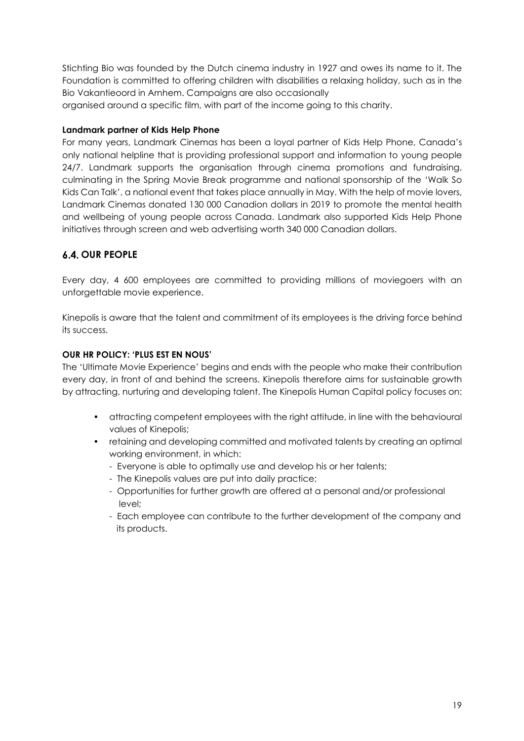Stichting Bio was founded by the Dutch cinema industry in 1927 and owes its name to it. The Foundation is committed to offering children with disabilities a relaxing holiday, such as in the Bio Vakantieoord in Arnhem. Campaigns are also occasionally organised around a specific film, with part of the income going to this charity.

#### Landmark partner of Kids Help Phone

For many years, Landmark Cinemas has been a loyal partner of Kids Help Phone, Canada's only national helpline that is providing professional support and information to young people 24/7. Landmark supports the organisation through cinema promotions and fundraising, culminating in the Spring Movie Break programme and national sponsorship of the 'Walk So Kids Can Talk', a national event that takes place annually in May. With the help of movie lovers, Landmark Cinemas donated 130 000 Canadion dollars in 2019 to promote the mental health and wellbeing of young people across Canada. Landmark also supported Kids Help Phone initiatives through screen and web advertising worth 340 000 Canadian dollars.

# **6.4. OUR PEOPLE**

Every day, 4 600 employees are committed to providing millions of moviegoers with an unforgettable movie experience.

Kinepolis is aware that the talent and commitment of its employees is the driving force behind its success.

## OUR HR POLICY: 'PLUS EST EN NOUS'

The 'Ultimate Movie Experience' begins and ends with the people who make their contribution every day, in front of and behind the screens. Kinepolis therefore aims for sustainable growth by attracting, nurturing and developing talent. The Kinepolis Human Capital policy focuses on:

- attracting competent employees with the right attitude, in line with the behavioural values of Kinepolis;
- retaining and developing committed and motivated talents by creating an optimal working environment, in which:
	- Everyone is able to optimally use and develop his or her talents;
	- The Kinepolis values are put into daily practice;
	- Opportunities for further growth are offered at a personal and/or professional level;
	- Each employee can contribute to the further development of the company and its products.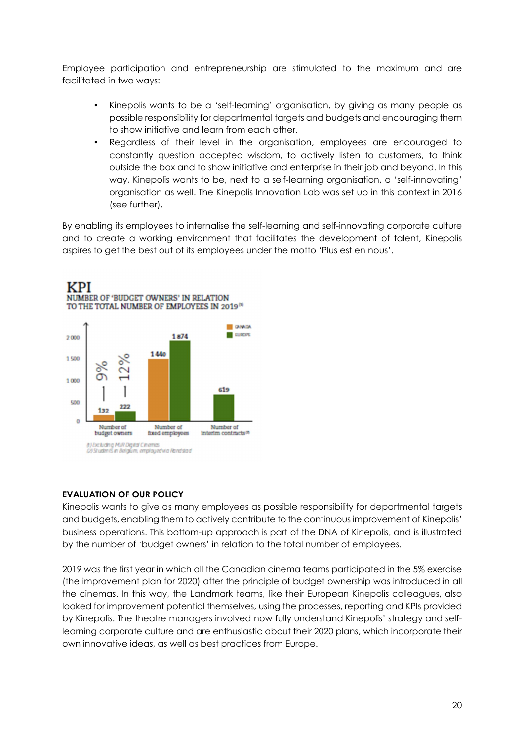Employee participation and entrepreneurship are stimulated to the maximum and are facilitated in two ways:

- Kinepolis wants to be a 'self-learning' organisation, by giving as many people as possible responsibility for departmental targets and budgets and encouraging them to show initiative and learn from each other.
- Regardless of their level in the organisation, employees are encouraged to constantly question accepted wisdom, to actively listen to customers, to think outside the box and to show initiative and enterprise in their job and beyond. In this way, Kinepolis wants to be, next to a self-learning organisation, a 'self-innovating' organisation as well. The Kinepolis Innovation Lab was set up in this context in 2016 (see further).

By enabling its employees to internalise the self-learning and self-innovating corporate culture and to create a working environment that facilitates the development of talent, Kinepolis aspires to get the best out of its employees under the motto 'Plus est en nous'.



#### EVALUATION OF OUR POLICY

Kinepolis wants to give as many employees as possible responsibility for departmental targets and budgets, enabling them to actively contribute to the continuous improvement of Kinepolis' business operations. This bottom-up approach is part of the DNA of Kinepolis, and is illustrated by the number of 'budget owners' in relation to the total number of employees.

2019 was the first year in which all the Canadian cinema teams participated in the 5% exercise (the improvement plan for 2020) after the principle of budget ownership was introduced in all the cinemas. In this way, the Landmark teams, like their European Kinepolis colleagues, also looked for improvement potential themselves, using the processes, reporting and KPIs provided by Kinepolis. The theatre managers involved now fully understand Kinepolis' strategy and selflearning corporate culture and are enthusiastic about their 2020 plans, which incorporate their own innovative ideas, as well as best practices from Europe.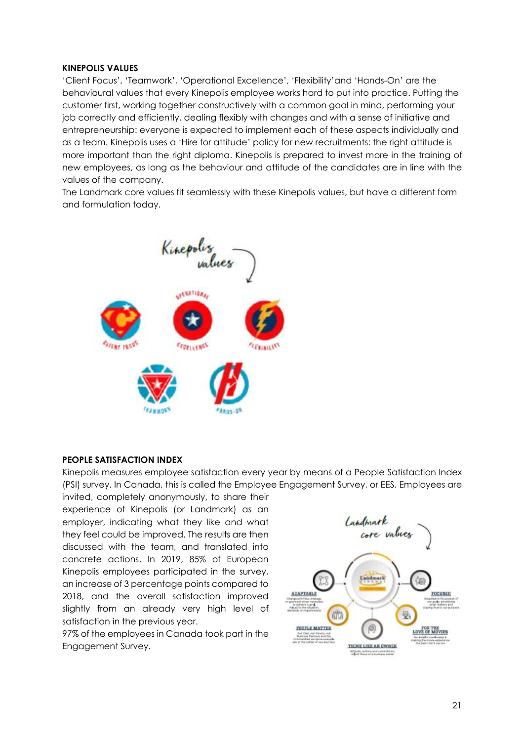#### KINEPOLIS VALUES

'Client Focus', 'Teamwork', 'Operational Excellence', 'Flexibility'and 'Hands-On' are the behavioural values that every Kinepolis employee works hard to put into practice. Putting the customer first, working together constructively with a common goal in mind, performing your job correctly and efficiently, dealing flexibly with changes and with a sense of initiative and entrepreneurship: everyone is expected to implement each of these aspects individually and as a team. Kinepolis uses a 'Hire for attitude' policy for new recruitments: the right attitude is more important than the right diploma. Kinepolis is prepared to invest more in the training of new employees, as long as the behaviour and attitude of the candidates are in line with the values of the company.

The Landmark core values fit seamlessly with these Kinepolis values, but have a different form and formulation today.



#### PEOPLE SATISFACTION INDEX

Kinepolis measures employee satisfaction every year by means of a People Satisfaction Index (PSI) survey. In Canada, this is called the Employee Engagement Survey, or EES. Employees are

invited, completely anonymously, to share their experience of Kinepolis (or Landmark) as an employer, indicating what they like and what they feel could be improved. The results are then discussed with the team, and translated into concrete actions. In 2019, 85% of European Kinepolis employees participated in the survey, an increase of 3 percentage points compared to 2018, and the overall satisfaction improved slightly from an already very high level of satisfaction in the previous year.

97% of the employees in Canada took part in the Engagement Survey.

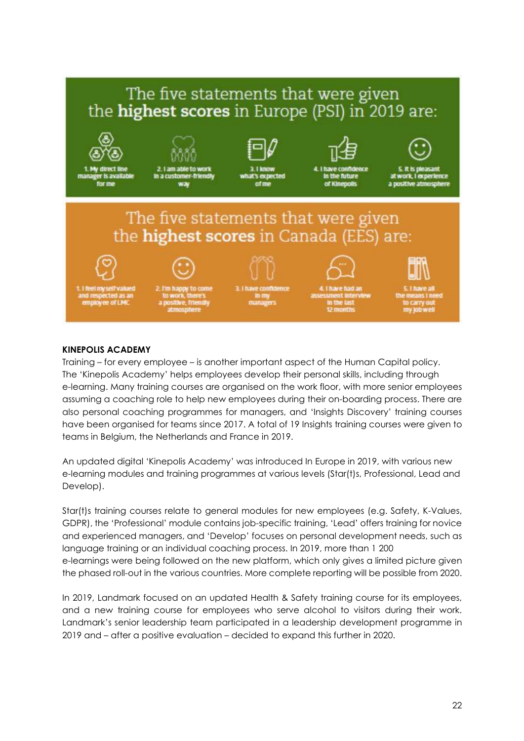

#### KINEPOLIS ACADEMY

Training – for every employee – is another important aspect of the Human Capital policy. The 'Kinepolis Academy' helps employees develop their personal skills, including through e-learning. Many training courses are organised on the work floor, with more senior employees assuming a coaching role to help new employees during their on-boarding process. There are also personal coaching programmes for managers, and 'Insights Discovery' training courses have been organised for teams since 2017. A total of 19 Insights training courses were given to teams in Belgium, the Netherlands and France in 2019.

An updated digital 'Kinepolis Academy' was introduced In Europe in 2019, with various new e-learning modules and training programmes at various levels (Star(t)s, Professional, Lead and Develop).

Star(t)s training courses relate to general modules for new employees (e.g. Safety, K-Values, GDPR), the 'Professional' module contains job-specific training, 'Lead' offers training for novice and experienced managers, and 'Develop' focuses on personal development needs, such as language training or an individual coaching process. In 2019, more than 1 200 e-learnings were being followed on the new platform, which only gives a limited picture given the phased roll-out in the various countries. More complete reporting will be possible from 2020.

In 2019, Landmark focused on an updated Health & Safety training course for its employees, and a new training course for employees who serve alcohol to visitors during their work. Landmark's senior leadership team participated in a leadership development programme in 2019 and – after a positive evaluation – decided to expand this further in 2020.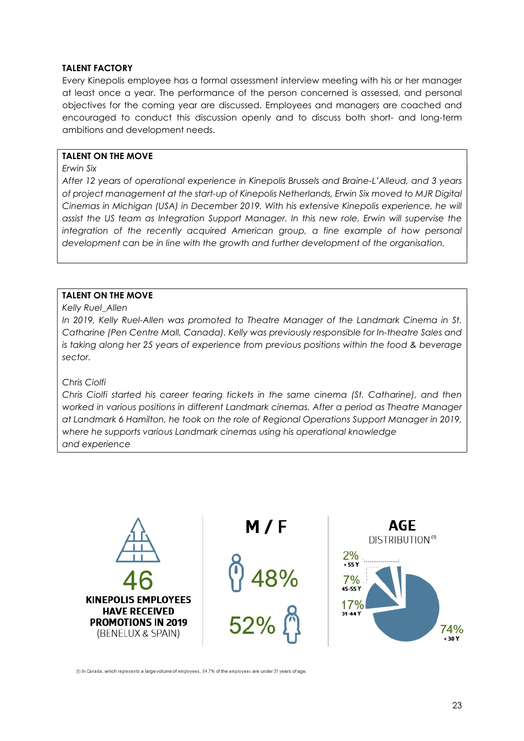#### TALENT FACTORY

Every Kinepolis employee has a formal assessment interview meeting with his or her manager at least once a year. The performance of the person concerned is assessed, and personal objectives for the coming year are discussed. Employees and managers are coached and encouraged to conduct this discussion openly and to discuss both short- and long-term ambitions and development needs.

#### TALENT ON THE MOVE

#### Erwin Six

After 12 years of operational experience in Kinepolis Brussels and Braine-L'Alleud, and 3 years of project management at the start-up of Kinepolis Netherlands, Erwin Six moved to MJR Digital Cinemas in Michigan (USA) in December 2019. With his extensive Kinepolis experience, he will assist the US team as Integration Support Manager. In this new role, Erwin will supervise the integration of the recently acquired American group, a fine example of how personal development can be in line with the growth and further development of the organisation.

#### TALENT ON THE MOVE

#### Kelly Ruel Allen

In 2019, Kelly Ruel-Allen was promoted to Theatre Manager of the Landmark Cinema in St. Catharine (Pen Centre Mall, Canada). Kelly was previously responsible for In-theatre Sales and is taking along her 25 years of experience from previous positions within the food & beverage sector.

#### Chris Ciolfi

Chris Ciolfi started his career tearing tickets in the same cinema (St. Catharine), and then worked in various positions in different Landmark cinemas. After a period as Theatre Manager at Landmark 6 Hamilton, he took on the role of Regional Operations Support Manager in 2019, where he supports various Landmark cinemas using his operational knowledge and experience



(1) In Canada, which represents a large volume of employees, 84.7% of the employees are under 31 years of age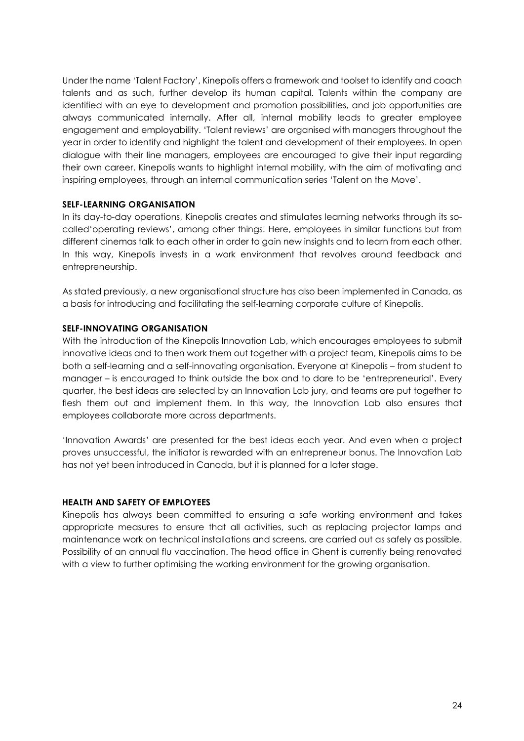Under the name 'Talent Factory', Kinepolis offers a framework and toolset to identify and coach talents and as such, further develop its human capital. Talents within the company are identified with an eye to development and promotion possibilities, and job opportunities are always communicated internally. After all, internal mobility leads to greater employee engagement and employability. 'Talent reviews' are organised with managers throughout the year in order to identify and highlight the talent and development of their employees. In open dialogue with their line managers, employees are encouraged to give their input regarding their own career. Kinepolis wants to highlight internal mobility, with the aim of motivating and inspiring employees, through an internal communication series 'Talent on the Move'.

#### SELF-LEARNING ORGANISATION

In its day-to-day operations, Kinepolis creates and stimulates learning networks through its socalled'operating reviews', among other things. Here, employees in similar functions but from different cinemas talk to each other in order to gain new insights and to learn from each other. In this way, Kinepolis invests in a work environment that revolves around feedback and entrepreneurship.

As stated previously, a new organisational structure has also been implemented in Canada, as a basis for introducing and facilitating the self-learning corporate culture of Kinepolis.

#### SELF-INNOVATING ORGANISATION

With the introduction of the Kinepolis Innovation Lab, which encourages employees to submit innovative ideas and to then work them out together with a project team, Kinepolis aims to be both a self-learning and a self-innovating organisation. Everyone at Kinepolis – from student to manager – is encouraged to think outside the box and to dare to be 'entrepreneurial'. Every quarter, the best ideas are selected by an Innovation Lab jury, and teams are put together to flesh them out and implement them. In this way, the Innovation Lab also ensures that employees collaborate more across departments.

'Innovation Awards' are presented for the best ideas each year. And even when a project proves unsuccessful, the initiator is rewarded with an entrepreneur bonus. The Innovation Lab has not yet been introduced in Canada, but it is planned for a later stage.

#### HEALTH AND SAFETY OF EMPLOYEES

Kinepolis has always been committed to ensuring a safe working environment and takes appropriate measures to ensure that all activities, such as replacing projector lamps and maintenance work on technical installations and screens, are carried out as safely as possible. Possibility of an annual flu vaccination. The head office in Ghent is currently being renovated with a view to further optimising the working environment for the growing organisation.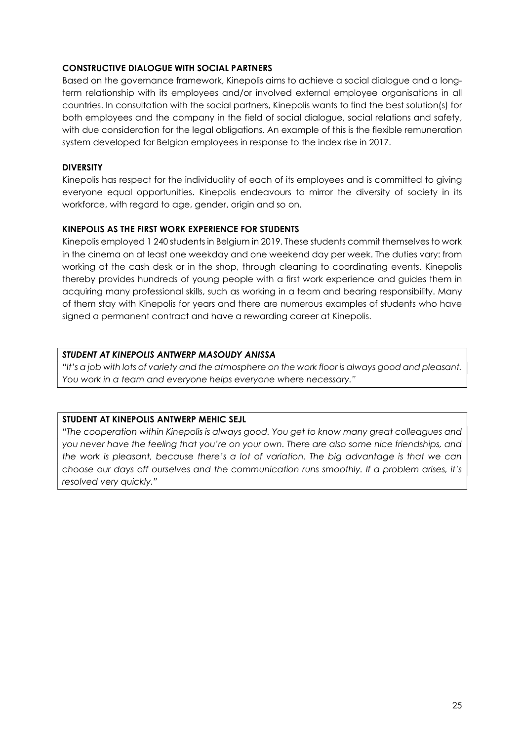#### CONSTRUCTIVE DIALOGUE WITH SOCIAL PARTNERS

Based on the governance framework, Kinepolis aims to achieve a social dialogue and a longterm relationship with its employees and/or involved external employee organisations in all countries. In consultation with the social partners, Kinepolis wants to find the best solution(s) for both employees and the company in the field of social dialogue, social relations and safety, with due consideration for the legal obligations. An example of this is the flexible remuneration system developed for Belgian employees in response to the index rise in 2017.

#### DIVERSITY

Kinepolis has respect for the individuality of each of its employees and is committed to giving everyone equal opportunities. Kinepolis endeavours to mirror the diversity of society in its workforce, with regard to age, gender, origin and so on.

## KINEPOLIS AS THE FIRST WORK EXPERIENCE FOR STUDENTS

Kinepolis employed 1 240 students in Belgium in 2019. These students commit themselves to work in the cinema on at least one weekday and one weekend day per week. The duties vary: from working at the cash desk or in the shop, through cleaning to coordinating events. Kinepolis thereby provides hundreds of young people with a first work experience and guides them in acquiring many professional skills, such as working in a team and bearing responsibility. Many of them stay with Kinepolis for years and there are numerous examples of students who have signed a permanent contract and have a rewarding career at Kinepolis.

## STUDENT AT KINEPOLIS ANTWERP MASOUDY ANISSA

"It's a job with lots of variety and the atmosphere on the work floor is always good and pleasant. You work in a team and everyone helps everyone where necessary."

#### STUDENT AT KINEPOLIS ANTWERP MEHIC SEJL

"The cooperation within Kinepolis is always good. You get to know many great colleagues and you never have the feeling that you're on your own. There are also some nice friendships, and the work is pleasant, because there's a lot of variation. The big advantage is that we can choose our days off ourselves and the communication runs smoothly. If a problem arises, it's resolved very quickly."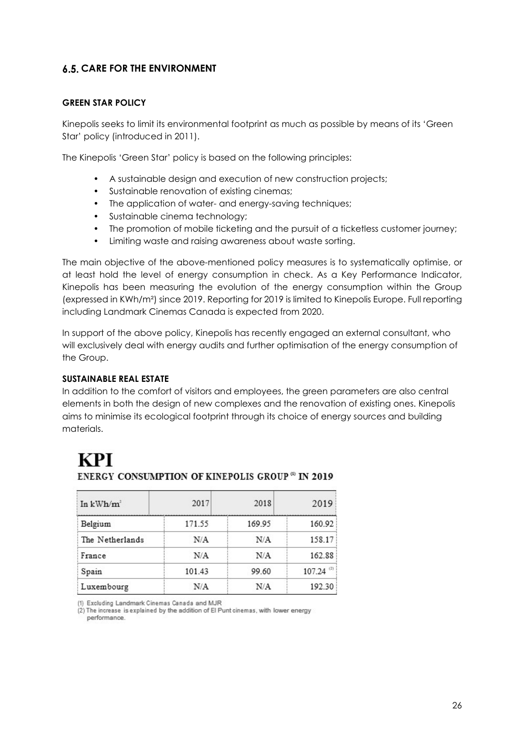# **6.5. CARE FOR THE ENVIRONMENT**

#### GREEN STAR POLICY

Kinepolis seeks to limit its environmental footprint as much as possible by means of its 'Green Star' policy (introduced in 2011).

The Kinepolis 'Green Star' policy is based on the following principles:

- A sustainable design and execution of new construction projects;
- Sustainable renovation of existing cinemas;
- The application of water- and energy-saving techniques;
- Sustainable cinema technology;
- The promotion of mobile ticketing and the pursuit of a ticketless customer journey;
- Limiting waste and raising awareness about waste sorting.

The main objective of the above-mentioned policy measures is to systematically optimise, or at least hold the level of energy consumption in check. As a Key Performance Indicator, Kinepolis has been measuring the evolution of the energy consumption within the Group (expressed in KWh/m²) since 2019. Reporting for 2019 is limited to Kinepolis Europe. Full reporting including Landmark Cinemas Canada is expected from 2020.

In support of the above policy, Kinepolis has recently engaged an external consultant, who will exclusively deal with energy audits and further optimisation of the energy consumption of the Group.

#### SUSTAINABLE REAL ESTATE

In addition to the comfort of visitors and employees, the green parameters are also central elements in both the design of new complexes and the renovation of existing ones. Kinepolis aims to minimise its ecological footprint through its choice of energy sources and building materials.

# **KPI**

| In $kWh/m^2$    | 2017   | 2018   | 2019          |  |
|-----------------|--------|--------|---------------|--|
| Belgium         | 171.55 | 169.95 | 160.92        |  |
| The Netherlands | N/A    | N/A    | 158.17        |  |
| France          | N/A    | N/A    | 162.88        |  |
| Spain           | 101.43 | 99.60  | (2)<br>107.24 |  |
| Luxembourg      | N/A    | N/A    | 192.30        |  |

## ENERGY CONSUMPTION OF KINEPOLIS GROUP<sup>®</sup> IN 2019

(1) Excluding Landmark Cinemas Canada and MJR

(2) The increase is explained by the addition of El Punt cinemas, with lower energy

performance.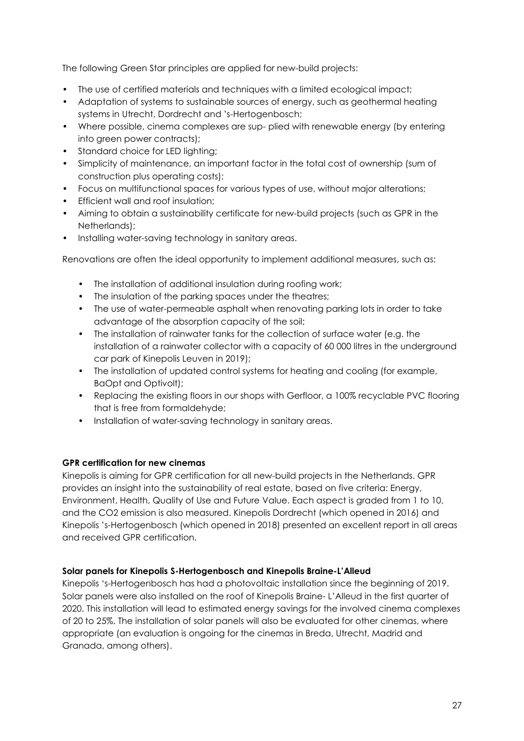The following Green Star principles are applied for new-build projects:

- The use of certified materials and techniques with a limited ecological impact;
- Adaptation of systems to sustainable sources of energy, such as geothermal heating systems in Utrecht, Dordrecht and 's-Hertogenbosch;
- Where possible, cinema complexes are sup- plied with renewable energy (by entering into green power contracts);
- Standard choice for LED lighting;
- Simplicity of maintenance, an important factor in the total cost of ownership (sum of construction plus operating costs);
- Focus on multifunctional spaces for various types of use, without major alterations;
- Efficient wall and roof insulation;
- Aiming to obtain a sustainability certificate for new-build projects (such as GPR in the Netherlands);
- Installing water-saving technology in sanitary areas.

Renovations are often the ideal opportunity to implement additional measures, such as:

- The installation of additional insulation during roofing work;
- The insulation of the parking spaces under the theatres;
- The use of water-permeable asphalt when renovating parking lots in order to take advantage of the absorption capacity of the soil;
- The installation of rainwater tanks for the collection of surface water (e.g. the installation of a rainwater collector with a capacity of 60 000 litres in the underground car park of Kinepolis Leuven in 2019);
- The installation of updated control systems for heating and cooling (for example, BaOpt and Optivolt);
- Replacing the existing floors in our shops with Gerfloor, a 100% recyclable PVC flooring that is free from formaldehyde;
- Installation of water-saving technology in sanitary areas.

#### GPR certification for new cinemas

Kinepolis is aiming for GPR certification for all new-build projects in the Netherlands. GPR provides an insight into the sustainability of real estate, based on five criteria: Energy, Environment, Health, Quality of Use and Future Value. Each aspect is graded from 1 to 10, and the CO2 emission is also measured. Kinepolis Dordrecht (which opened in 2016) and Kinepolis 's-Hertogenbosch (which opened in 2018) presented an excellent report in all areas and received GPR certification.

#### Solar panels for Kinepolis S-Hertogenbosch and Kinepolis Braine-L'Alleud

Kinepolis 's-Hertogenbosch has had a photovoltaic installation since the beginning of 2019. Solar panels were also installed on the roof of Kinepolis Braine- L'Alleud in the first quarter of 2020. This installation will lead to estimated energy savings for the involved cinema complexes of 20 to 25%. The installation of solar panels will also be evaluated for other cinemas, where appropriate (an evaluation is ongoing for the cinemas in Breda, Utrecht, Madrid and Granada, among others).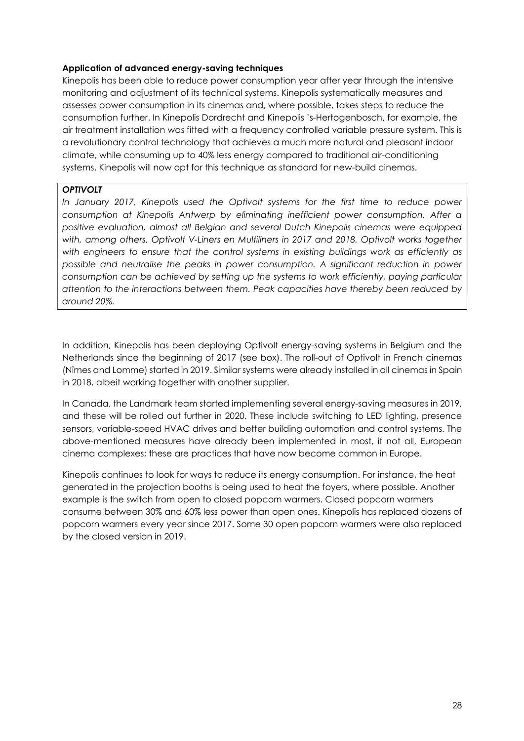#### Application of advanced energy-saving techniques

Kinepolis has been able to reduce power consumption year after year through the intensive monitoring and adjustment of its technical systems. Kinepolis systematically measures and assesses power consumption in its cinemas and, where possible, takes steps to reduce the consumption further. In Kinepolis Dordrecht and Kinepolis 's-Hertogenbosch, for example, the air treatment installation was fitted with a frequency controlled variable pressure system. This is a revolutionary control technology that achieves a much more natural and pleasant indoor climate, while consuming up to 40% less energy compared to traditional air-conditioning systems. Kinepolis will now opt for this technique as standard for new-build cinemas.

#### **OPTIVOLT**

In January 2017, Kinepolis used the Optivolt systems for the first time to reduce power consumption at Kinepolis Antwerp by eliminating inefficient power consumption. After a positive evaluation, almost all Belgian and several Dutch Kinepolis cinemas were equipped with, among others, Optivolt V-Liners en Multiliners in 2017 and 2018. Optivolt works together with engineers to ensure that the control systems in existing buildings work as efficiently as possible and neutralise the peaks in power consumption. A significant reduction in power consumption can be achieved by setting up the systems to work efficiently, paying particular attention to the interactions between them. Peak capacities have thereby been reduced by around 20%.

In addition, Kinepolis has been deploying Optivolt energy-saving systems in Belgium and the Netherlands since the beginning of 2017 (see box). The roll-out of Optivolt in French cinemas (Nîmes and Lomme) started in 2019. Similar systems were already installed in all cinemas in Spain in 2018, albeit working together with another supplier.

In Canada, the Landmark team started implementing several energy-saving measures in 2019, and these will be rolled out further in 2020. These include switching to LED lighting, presence sensors, variable-speed HVAC drives and better building automation and control systems. The above-mentioned measures have already been implemented in most, if not all, European cinema complexes; these are practices that have now become common in Europe.

Kinepolis continues to look for ways to reduce its energy consumption. For instance, the heat generated in the projection booths is being used to heat the foyers, where possible. Another example is the switch from open to closed popcorn warmers. Closed popcorn warmers consume between 30% and 60% less power than open ones. Kinepolis has replaced dozens of popcorn warmers every year since 2017. Some 30 open popcorn warmers were also replaced by the closed version in 2019.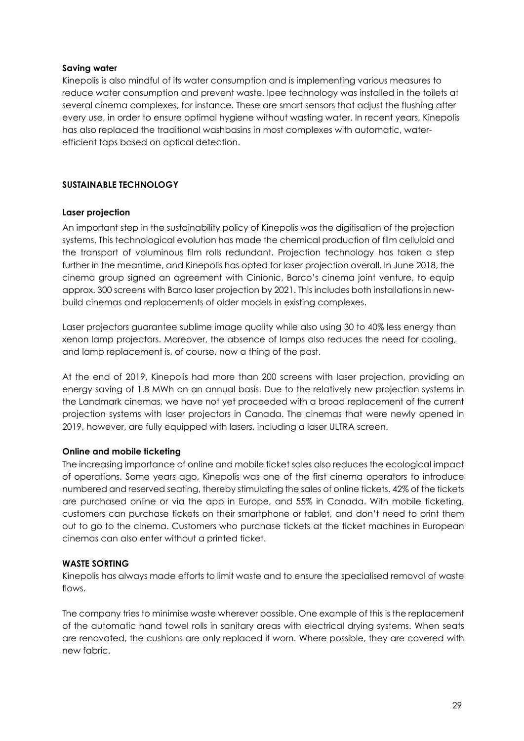#### Saving water

Kinepolis is also mindful of its water consumption and is implementing various measures to reduce water consumption and prevent waste. Ipee technology was installed in the toilets at several cinema complexes, for instance. These are smart sensors that adjust the flushing after every use, in order to ensure optimal hygiene without wasting water. In recent years, Kinepolis has also replaced the traditional washbasins in most complexes with automatic, waterefficient taps based on optical detection.

## SUSTAINABLE TECHNOLOGY

#### Laser projection

An important step in the sustainability policy of Kinepolis was the digitisation of the projection systems. This technological evolution has made the chemical production of film celluloid and the transport of voluminous film rolls redundant. Projection technology has taken a step further in the meantime, and Kinepolis has opted for laser projection overall. In June 2018, the cinema group signed an agreement with Cinionic, Barco's cinema joint venture, to equip approx. 300 screens with Barco laser projection by 2021. This includes both installations in newbuild cinemas and replacements of older models in existing complexes.

Laser projectors guarantee sublime image quality while also using 30 to 40% less energy than xenon lamp projectors. Moreover, the absence of lamps also reduces the need for cooling, and lamp replacement is, of course, now a thing of the past.

At the end of 2019, Kinepolis had more than 200 screens with laser projection, providing an energy saving of 1.8 MWh on an annual basis. Due to the relatively new projection systems in the Landmark cinemas, we have not yet proceeded with a broad replacement of the current projection systems with laser projectors in Canada. The cinemas that were newly opened in 2019, however, are fully equipped with lasers, including a laser ULTRA screen.

#### Online and mobile ticketing

The increasing importance of online and mobile ticket sales also reduces the ecological impact of operations. Some years ago, Kinepolis was one of the first cinema operators to introduce numbered and reserved seating, thereby stimulating the sales of online tickets. 42% of the tickets are purchased online or via the app in Europe, and 55% in Canada. With mobile ticketing, customers can purchase tickets on their smartphone or tablet, and don't need to print them out to go to the cinema. Customers who purchase tickets at the ticket machines in European cinemas can also enter without a printed ticket.

#### WASTE SORTING

Kinepolis has always made efforts to limit waste and to ensure the specialised removal of waste flows.

The company tries to minimise waste wherever possible. One example of this is the replacement of the automatic hand towel rolls in sanitary areas with electrical drying systems. When seats are renovated, the cushions are only replaced if worn. Where possible, they are covered with new fabric.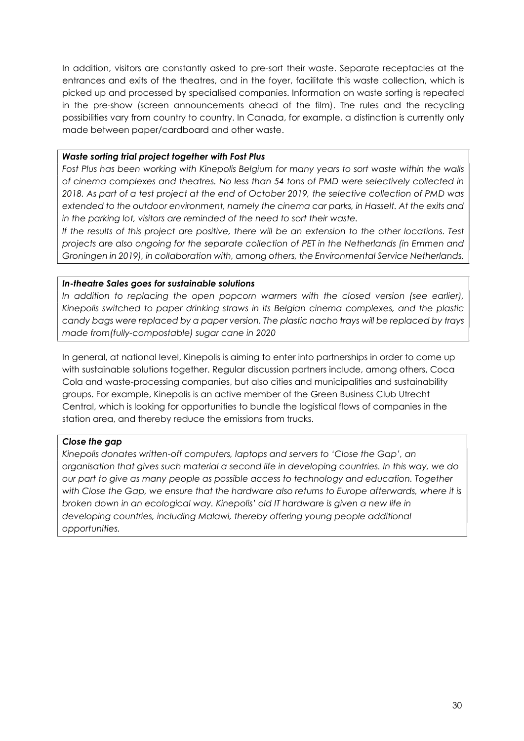In addition, visitors are constantly asked to pre-sort their waste. Separate receptacles at the entrances and exits of the theatres, and in the foyer, facilitate this waste collection, which is picked up and processed by specialised companies. Information on waste sorting is repeated in the pre-show (screen announcements ahead of the film). The rules and the recycling possibilities vary from country to country. In Canada, for example, a distinction is currently only made between paper/cardboard and other waste.

#### Waste sorting trial project together with Fost Plus

Fost Plus has been working with Kinepolis Belgium for many years to sort waste within the walls of cinema complexes and theatres. No less than 54 tons of PMD were selectively collected in 2018. As part of a test project at the end of October 2019, the selective collection of PMD was extended to the outdoor environment, namely the cinema car parks, in Hasselt. At the exits and in the parking lot, visitors are reminded of the need to sort their waste.

If the results of this project are positive, there will be an extension to the other locations. Test projects are also ongoing for the separate collection of PET in the Netherlands (in Emmen and Groningen in 2019), in collaboration with, among others, the Environmental Service Netherlands.

#### In-theatre Sales goes for sustainable solutions

In addition to replacing the open popcorn warmers with the closed version (see earlier), Kinepolis switched to paper drinking straws in its Belgian cinema complexes, and the plastic candy bags were replaced by a paper version. The plastic nacho trays will be replaced by trays made from(fully-compostable) sugar cane in 2020

In general, at national level, Kinepolis is aiming to enter into partnerships in order to come up with sustainable solutions together. Regular discussion partners include, among others, Coca Cola and waste-processing companies, but also cities and municipalities and sustainability groups. For example, Kinepolis is an active member of the Green Business Club Utrecht Central, which is looking for opportunities to bundle the logistical flows of companies in the station area, and thereby reduce the emissions from trucks.

#### Close the gap

Kinepolis donates written-off computers, laptops and servers to 'Close the Gap', an organisation that gives such material a second life in developing countries. In this way, we do our part to give as many people as possible access to technology and education. Together with Close the Gap, we ensure that the hardware also returns to Europe afterwards, where it is broken down in an ecological way. Kinepolis' old IT hardware is given a new life in developing countries, including Malawi, thereby offering young people additional opportunities.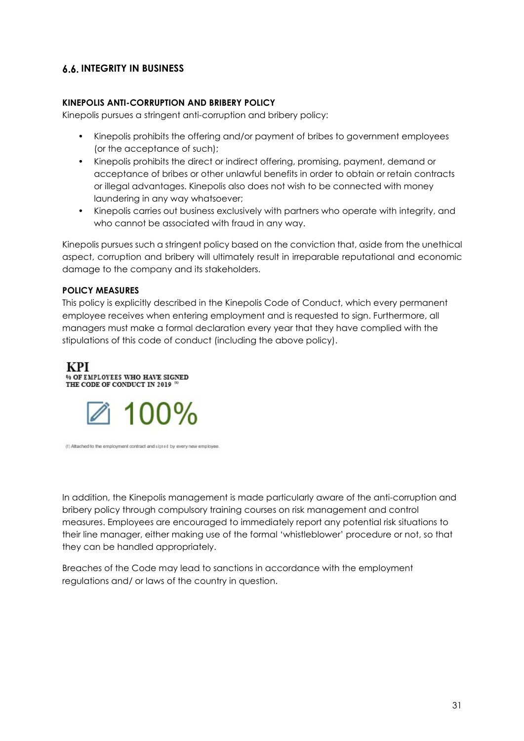# **6.6. INTEGRITY IN BUSINESS**

#### KINEPOLIS ANTI-CORRUPTION AND BRIBERY POLICY

Kinepolis pursues a stringent anti-corruption and bribery policy:

- Kinepolis prohibits the offering and/or payment of bribes to government employees (or the acceptance of such);
- Kinepolis prohibits the direct or indirect offering, promising, payment, demand or acceptance of bribes or other unlawful benefits in order to obtain or retain contracts or illegal advantages. Kinepolis also does not wish to be connected with money laundering in any way whatsoever;
- Kinepolis carries out business exclusively with partners who operate with integrity, and who cannot be associated with fraud in any way.

Kinepolis pursues such a stringent policy based on the conviction that, aside from the unethical aspect, corruption and bribery will ultimately result in irreparable reputational and economic damage to the company and its stakeholders.

#### POLICY MEASURES

This policy is explicitly described in the Kinepolis Code of Conduct, which every permanent employee receives when entering employment and is requested to sign. Furthermore, all managers must make a formal declaration every year that they have complied with the stipulations of this code of conduct (including the above policy).

#### **KPI** % OF EMPLOYEES WHO HAVE SIGNED THE CODE OF CONDUCT IN 2019



(1) Attached to the employment contract and signed by every new employee

In addition, the Kinepolis management is made particularly aware of the anti-corruption and bribery policy through compulsory training courses on risk management and control measures. Employees are encouraged to immediately report any potential risk situations to their line manager, either making use of the formal 'whistleblower' procedure or not, so that they can be handled appropriately.

Breaches of the Code may lead to sanctions in accordance with the employment regulations and/ or laws of the country in question.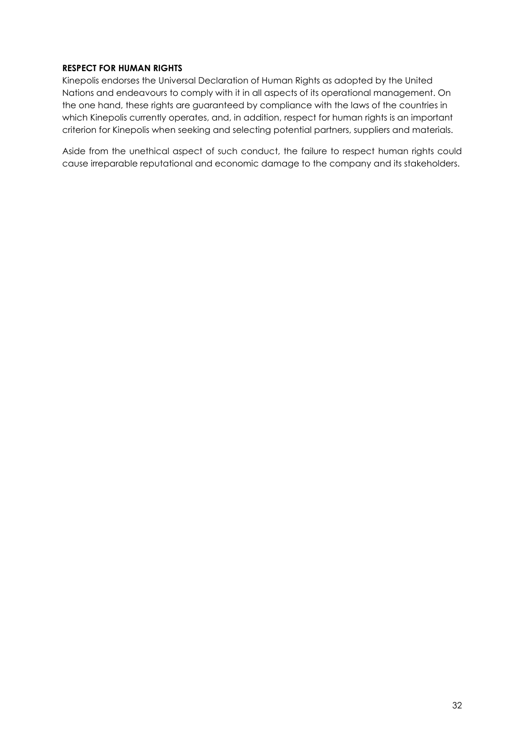#### RESPECT FOR HUMAN RIGHTS

Kinepolis endorses the Universal Declaration of Human Rights as adopted by the United Nations and endeavours to comply with it in all aspects of its operational management. On the one hand, these rights are guaranteed by compliance with the laws of the countries in which Kinepolis currently operates, and, in addition, respect for human rights is an important criterion for Kinepolis when seeking and selecting potential partners, suppliers and materials.

Aside from the unethical aspect of such conduct, the failure to respect human rights could cause irreparable reputational and economic damage to the company and its stakeholders.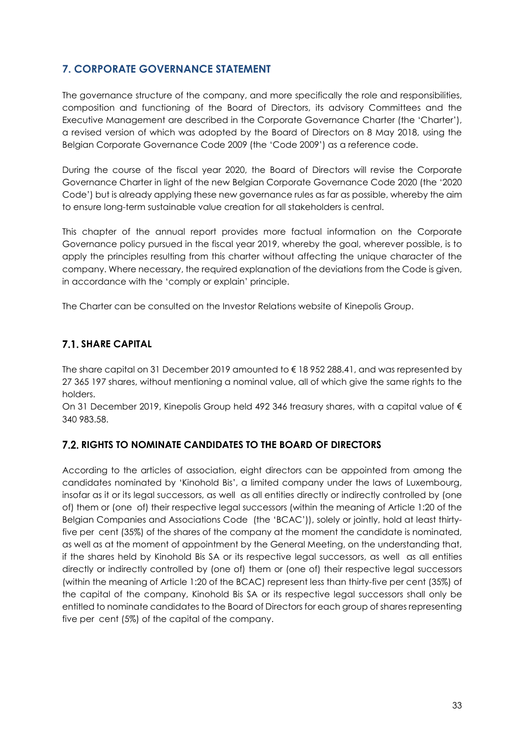# 7. CORPORATE GOVERNANCE STATEMENT

The governance structure of the company, and more specifically the role and responsibilities, composition and functioning of the Board of Directors, its advisory Committees and the Executive Management are described in the Corporate Governance Charter (the 'Charter'), a revised version of which was adopted by the Board of Directors on 8 May 2018, using the Belgian Corporate Governance Code 2009 (the 'Code 2009') as a reference code.

During the course of the fiscal year 2020, the Board of Directors will revise the Corporate Governance Charter in light of the new Belgian Corporate Governance Code 2020 (the '2020 Code') but is already applying these new governance rules as far as possible, whereby the aim to ensure long-term sustainable value creation for all stakeholders is central.

This chapter of the annual report provides more factual information on the Corporate Governance policy pursued in the fiscal year 2019, whereby the goal, wherever possible, is to apply the principles resulting from this charter without affecting the unique character of the company. Where necessary, the required explanation of the deviations from the Code is given, in accordance with the 'comply or explain' principle.

The Charter can be consulted on the Investor Relations website of Kinepolis Group.

# **7.1. SHARE CAPITAL**

The share capital on 31 December 2019 amounted to € 18 952 288.41, and was represented by 27 365 197 shares, without mentioning a nominal value, all of which give the same rights to the holders.

On 31 December 2019, Kinepolis Group held 492 346 treasury shares, with a capital value of € 340 983.58.

# 7.2. RIGHTS TO NOMINATE CANDIDATES TO THE BOARD OF DIRECTORS

According to the articles of association, eight directors can be appointed from among the candidates nominated by 'Kinohold Bis', a limited company under the laws of Luxembourg, insofar as it or its legal successors, as well as all entities directly or indirectly controlled by (one of) them or (one of) their respective legal successors (within the meaning of Article 1:20 of the Belgian Companies and Associations Code (the 'BCAC')), solely or jointly, hold at least thirtyfive per cent (35%) of the shares of the company at the moment the candidate is nominated, as well as at the moment of appointment by the General Meeting, on the understanding that, if the shares held by Kinohold Bis SA or its respective legal successors, as well as all entities directly or indirectly controlled by (one of) them or (one of) their respective legal successors (within the meaning of Article 1:20 of the BCAC) represent less than thirty-five per cent (35%) of the capital of the company, Kinohold Bis SA or its respective legal successors shall only be entitled to nominate candidates to the Board of Directors for each group of shares representing five per cent (5%) of the capital of the company.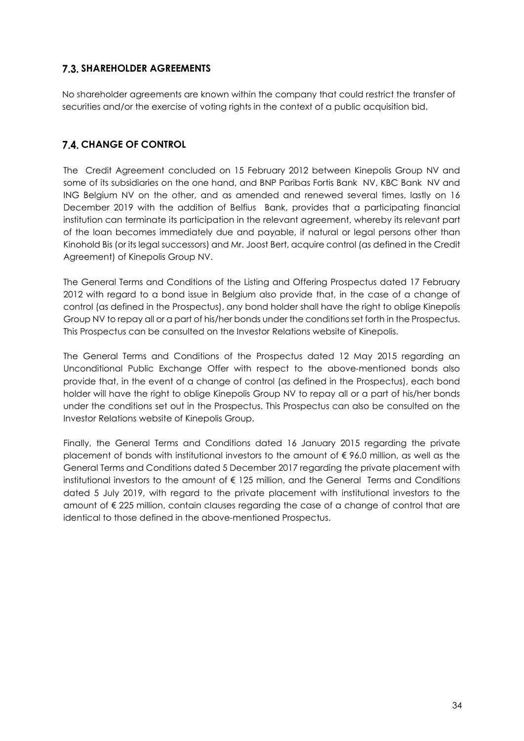# 7.3. SHAREHOLDER AGREEMENTS

No shareholder agreements are known within the company that could restrict the transfer of securities and/or the exercise of voting rights in the context of a public acquisition bid.

# **7.4. CHANGE OF CONTROL**

The Credit Agreement concluded on 15 February 2012 between Kinepolis Group NV and some of its subsidiaries on the one hand, and BNP Paribas Fortis Bank NV, KBC Bank NV and ING Belgium NV on the other, and as amended and renewed several times, lastly on 16 December 2019 with the addition of Belfius Bank, provides that a participating financial institution can terminate its participation in the relevant agreement, whereby its relevant part of the loan becomes immediately due and payable, if natural or legal persons other than Kinohold Bis (or its legal successors) and Mr. Joost Bert, acquire control (as defined in the Credit Agreement) of Kinepolis Group NV.

The General Terms and Conditions of the Listing and Offering Prospectus dated 17 February 2012 with regard to a bond issue in Belgium also provide that, in the case of a change of control (as defined in the Prospectus), any bond holder shall have the right to oblige Kinepolis Group NV to repay all or a part of his/her bonds under the conditions set forth in the Prospectus. This Prospectus can be consulted on the Investor Relations website of Kinepolis.

The General Terms and Conditions of the Prospectus dated 12 May 2015 regarding an Unconditional Public Exchange Offer with respect to the above-mentioned bonds also provide that, in the event of a change of control (as defined in the Prospectus), each bond holder will have the right to oblige Kinepolis Group NV to repay all or a part of his/her bonds under the conditions set out in the Prospectus. This Prospectus can also be consulted on the Investor Relations website of Kinepolis Group.

Finally, the General Terms and Conditions dated 16 January 2015 regarding the private placement of bonds with institutional investors to the amount of € 96.0 million, as well as the General Terms and Conditions dated 5 December 2017 regarding the private placement with institutional investors to the amount of € 125 million, and the General Terms and Conditions dated 5 July 2019, with regard to the private placement with institutional investors to the amount of € 225 million, contain clauses regarding the case of a change of control that are identical to those defined in the above-mentioned Prospectus.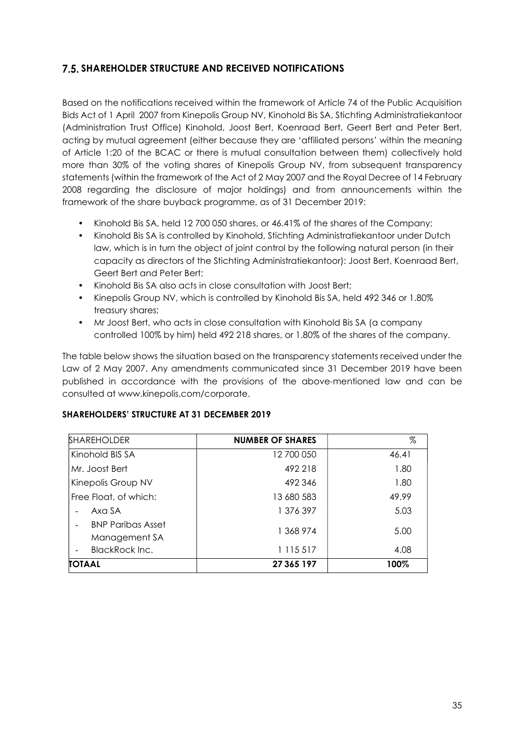# **7.5. SHAREHOLDER STRUCTURE AND RECEIVED NOTIFICATIONS**

Based on the notifications received within the framework of Article 74 of the Public Acquisition Bids Act of 1 April 2007 from Kinepolis Group NV, Kinohold Bis SA, Stichting Administratiekantoor (Administration Trust Office) Kinohold, Joost Bert, Koenraad Bert, Geert Bert and Peter Bert, acting by mutual agreement (either because they are 'affiliated persons' within the meaning of Article 1:20 of the BCAC or there is mutual consultation between them) collectively hold more than 30% of the voting shares of Kinepolis Group NV, from subsequent transparency statements (within the framework of the Act of 2 May 2007 and the Royal Decree of 14 February 2008 regarding the disclosure of major holdings) and from announcements within the framework of the share buyback programme, as of 31 December 2019:

- Kinohold Bis SA, held 12 700 050 shares, or 46.41% of the shares of the Company;
- Kinohold Bis SA is controlled by Kinohold, Stichting Administratiekantoor under Dutch law, which is in turn the object of joint control by the following natural person (in their capacity as directors of the Stichting Administratiekantoor): Joost Bert, Koenraad Bert, Geert Bert and Peter Bert;
- Kinohold Bis SA also acts in close consultation with Joost Bert;
- Kinepolis Group NV, which is controlled by Kinohold Bis SA, held 492 346 or 1.80% treasury shares;
- Mr Joost Bert, who acts in close consultation with Kinohold Bis SA (a company controlled 100% by him) held 492 218 shares, or 1.80% of the shares of the company.

The table below shows the situation based on the transparency statements received under the Law of 2 May 2007. Any amendments communicated since 31 December 2019 have been published in accordance with the provisions of the above-mentioned law and can be consulted at www.kinepolis.com/corporate.

#### SHAREHOLDERS' STRUCTURE AT 31 DECEMBER 2019

| <b>SHAREHOLDER</b>                        | <b>NUMBER OF SHARES</b> | %     |
|-------------------------------------------|-------------------------|-------|
| Kinohold BIS SA                           | 12 700 050              | 46.41 |
| Mr. Joost Bert                            | 492 218                 | 1.80  |
| Kinepolis Group NV                        | 492 346                 | 1.80  |
| Free Float, of which:                     | 13 680 583              | 49.99 |
| Axa SA                                    | 1 376 397               | 5.03  |
| <b>BNP Paribas Asset</b><br>Management SA | 1 368 974               | 5.00  |
| <b>BlackRock Inc.</b>                     | 1 1 1 5 5 1 7           | 4.08  |
| <b>TOTAAL</b>                             | 27 365 197              | 100%  |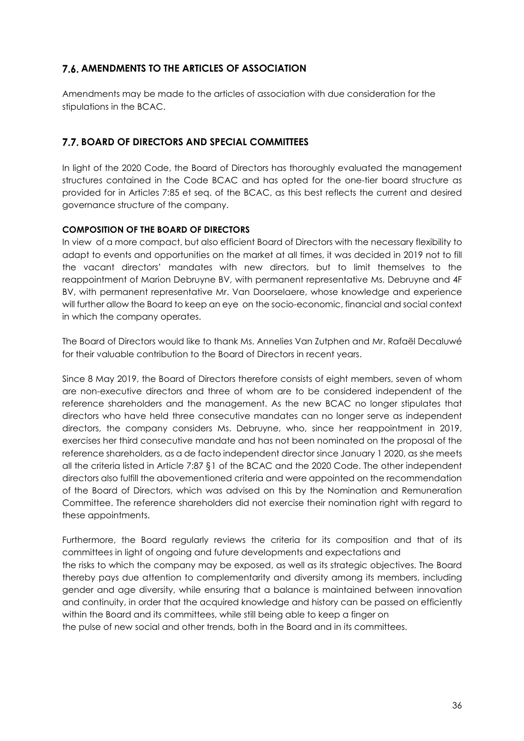# 7.6. AMENDMENTS TO THE ARTICLES OF ASSOCIATION

Amendments may be made to the articles of association with due consideration for the stipulations in the BCAC.

## 7.7. BOARD OF DIRECTORS AND SPECIAL COMMITTEES

In light of the 2020 Code, the Board of Directors has thoroughly evaluated the management structures contained in the Code BCAC and has opted for the one-tier board structure as provided for in Articles 7:85 et seq. of the BCAC, as this best reflects the current and desired governance structure of the company.

## COMPOSITION OF THE BOARD OF DIRECTORS

In view of a more compact, but also efficient Board of Directors with the necessary flexibility to adapt to events and opportunities on the market at all times, it was decided in 2019 not to fill the vacant directors' mandates with new directors, but to limit themselves to the reappointment of Marion Debruyne BV, with permanent representative Ms. Debruyne and 4F BV, with permanent representative Mr. Van Doorselaere, whose knowledge and experience will further allow the Board to keep an eye on the socio-economic, financial and social context in which the company operates.

The Board of Directors would like to thank Ms. Annelies Van Zutphen and Mr. Rafaël Decaluwé for their valuable contribution to the Board of Directors in recent years.

Since 8 May 2019, the Board of Directors therefore consists of eight members, seven of whom are non-executive directors and three of whom are to be considered independent of the reference shareholders and the management. As the new BCAC no longer stipulates that directors who have held three consecutive mandates can no longer serve as independent directors, the company considers Ms. Debruyne, who, since her reappointment in 2019, exercises her third consecutive mandate and has not been nominated on the proposal of the reference shareholders, as a de facto independent director since January 1 2020, as she meets all the criteria listed in Article 7:87 §1 of the BCAC and the 2020 Code. The other independent directors also fulfill the abovementioned criteria and were appointed on the recommendation of the Board of Directors, which was advised on this by the Nomination and Remuneration Committee. The reference shareholders did not exercise their nomination right with regard to these appointments.

Furthermore, the Board regularly reviews the criteria for its composition and that of its committees in light of ongoing and future developments and expectations and the risks to which the company may be exposed, as well as its strategic objectives. The Board thereby pays due attention to complementarity and diversity among its members, including gender and age diversity, while ensuring that a balance is maintained between innovation and continuity, in order that the acquired knowledge and history can be passed on efficiently within the Board and its committees, while still being able to keep a finger on

the pulse of new social and other trends, both in the Board and in its committees.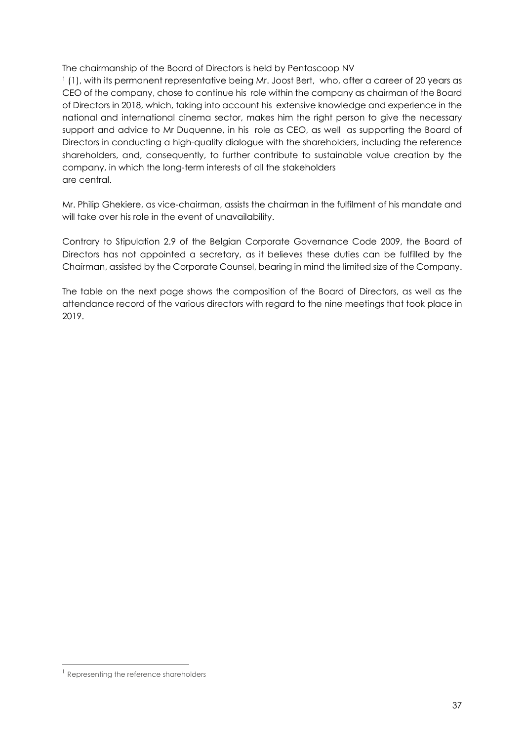The chairmanship of the Board of Directors is held by Pentascoop NV

<sup>1</sup> (1), with its permanent representative being Mr. Joost Bert, who, after a career of 20 years as CEO of the company, chose to continue his role within the company as chairman of the Board of Directors in 2018, which, taking into account his extensive knowledge and experience in the national and international cinema sector, makes him the right person to give the necessary support and advice to Mr Duquenne, in his role as CEO, as well as supporting the Board of Directors in conducting a high-quality dialogue with the shareholders, including the reference shareholders, and, consequently, to further contribute to sustainable value creation by the company, in which the long-term interests of all the stakeholders are central.

Mr. Philip Ghekiere, as vice-chairman, assists the chairman in the fulfilment of his mandate and will take over his role in the event of unavailability.

Contrary to Stipulation 2.9 of the Belgian Corporate Governance Code 2009, the Board of Directors has not appointed a secretary, as it believes these duties can be fulfilled by the Chairman, assisted by the Corporate Counsel, bearing in mind the limited size of the Company.

The table on the next page shows the composition of the Board of Directors, as well as the attendance record of the various directors with regard to the nine meetings that took place in 2019.

<sup>1</sup> Representing the reference shareholders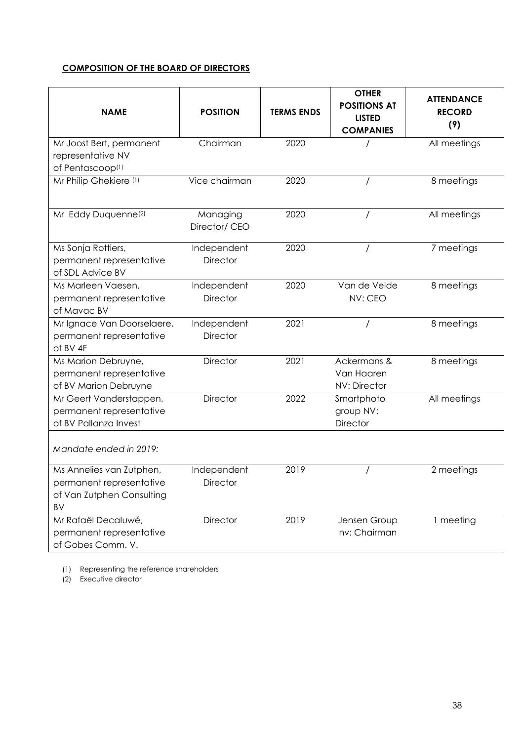## COMPOSITION OF THE BOARD OF DIRECTORS

| <b>NAME</b>                                                                             | <b>POSITION</b>                | <b>TERMS ENDS</b> | <b>OTHER</b><br><b>POSITIONS AT</b><br><b>LISTED</b><br><b>COMPANIES</b> | <b>ATTENDANCE</b><br><b>RECORD</b><br>(9) |
|-----------------------------------------------------------------------------------------|--------------------------------|-------------------|--------------------------------------------------------------------------|-------------------------------------------|
| Mr Joost Bert, permanent<br>representative NV<br>of Pentascoop <sup>(1)</sup>           | Chairman                       | 2020              |                                                                          | All meetings                              |
| Mr Philip Ghekiere (1)                                                                  | Vice chairman                  | 2020              |                                                                          | 8 meetings                                |
| Mr Eddy Duquenne <sup>(2)</sup>                                                         | Managing<br>Director/ CEO      | 2020              | $\prime$                                                                 | All meetings                              |
| Ms Sonja Rottiers,<br>permanent representative<br>of SDL Advice BV                      | Independent<br><b>Director</b> | 2020              |                                                                          | 7 meetings                                |
| Ms Marleen Vaesen,<br>permanent representative<br>of Mavac BV                           | Independent<br><b>Director</b> | 2020              | Van de Velde<br>NV: CEO                                                  | 8 meetings                                |
| Mr Ignace Van Doorselaere,<br>permanent representative<br>of BV 4F                      | Independent<br><b>Director</b> | 2021              |                                                                          | 8 meetings                                |
| Ms Marion Debruyne,<br>permanent representative<br>of BV Marion Debruyne                | Director                       | 2021              | Ackermans &<br>Van Haaren<br>NV: Director                                | 8 meetings                                |
| Mr Geert Vanderstappen,<br>permanent representative<br>of BV Pallanza Invest            | <b>Director</b>                | 2022              | Smartphoto<br>group NV:<br><b>Director</b>                               | All meetings                              |
| Mandate ended in 2019:                                                                  |                                |                   |                                                                          |                                           |
| Ms Annelies van Zutphen,<br>permanent representative<br>of Van Zutphen Consulting<br>BV | Independent<br>Director        | 2019              |                                                                          | 2 meetings                                |
| Mr Rafaël Decaluwé,<br>permanent representative<br>of Gobes Comm. V.                    | Director                       | 2019              | Jensen Group<br>nv: Chairman                                             | 1 meeting                                 |

(1) Representing the reference shareholders

(2) Executive director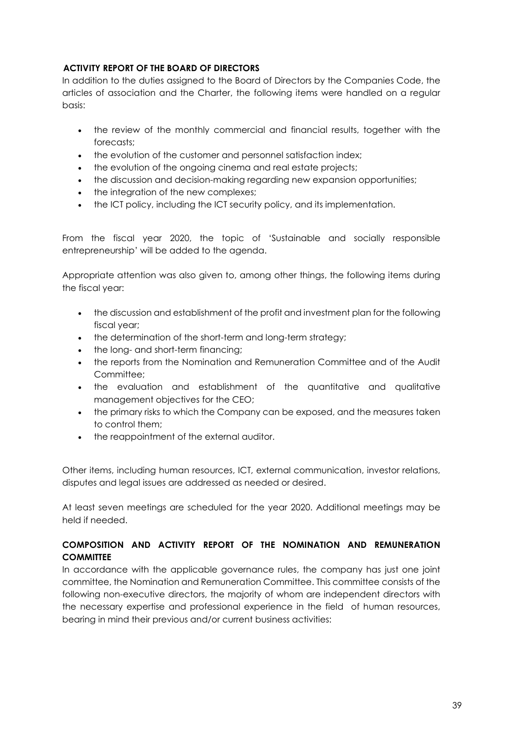## ACTIVITY REPORT OF THE BOARD OF DIRECTORS

In addition to the duties assigned to the Board of Directors by the Companies Code, the articles of association and the Charter, the following items were handled on a regular basis:

- the review of the monthly commercial and financial results, together with the forecasts;
- the evolution of the customer and personnel satisfaction index;
- the evolution of the ongoing cinema and real estate projects;
- the discussion and decision-making regarding new expansion opportunities;
- the integration of the new complexes;
- the ICT policy, including the ICT security policy, and its implementation.

From the fiscal year 2020, the topic of 'Sustainable and socially responsible entrepreneurship' will be added to the agenda.

Appropriate attention was also given to, among other things, the following items during the fiscal year:

- the discussion and establishment of the profit and investment plan for the following fiscal year;
- the determination of the short-term and long-term strategy;
- the long- and short-term financing;
- the reports from the Nomination and Remuneration Committee and of the Audit Committee:
- the evaluation and establishment of the quantitative and qualitative management objectives for the CEO;
- the primary risks to which the Company can be exposed, and the measures taken to control them;
- the reappointment of the external auditor.

Other items, including human resources, ICT, external communication, investor relations, disputes and legal issues are addressed as needed or desired.

At least seven meetings are scheduled for the year 2020. Additional meetings may be held if needed.

## COMPOSITION AND ACTIVITY REPORT OF THE NOMINATION AND REMUNERATION **COMMITTEE**

In accordance with the applicable governance rules, the company has just one joint committee, the Nomination and Remuneration Committee. This committee consists of the following non-executive directors, the majority of whom are independent directors with the necessary expertise and professional experience in the field of human resources, bearing in mind their previous and/or current business activities: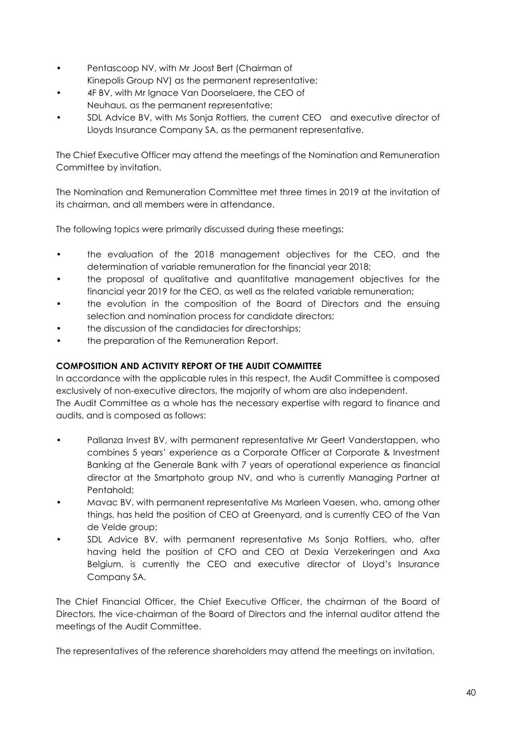- Pentascoop NV, with Mr Joost Bert (Chairman of Kinepolis Group NV) as the permanent representative;
- 4F BV, with Mr Ignace Van Doorselaere, the CEO of Neuhaus, as the permanent representative;
- SDL Advice BV, with Ms Sonja Rottiers, the current CEO and executive director of Lloyds Insurance Company SA, as the permanent representative.

The Chief Executive Officer may attend the meetings of the Nomination and Remuneration Committee by invitation.

The Nomination and Remuneration Committee met three times in 2019 at the invitation of its chairman, and all members were in attendance.

The following topics were primarily discussed during these meetings:

- the evaluation of the 2018 management objectives for the CEO, and the determination of variable remuneration for the financial year 2018;
- the proposal of qualitative and quantitative management objectives for the financial year 2019 for the CEO, as well as the related variable remuneration;
- the evolution in the composition of the Board of Directors and the ensuing selection and nomination process for candidate directors;
- the discussion of the candidacies for directorships;
- the preparation of the Remuneration Report.

## COMPOSITION AND ACTIVITY REPORT OF THE AUDIT COMMITTEE

In accordance with the applicable rules in this respect, the Audit Committee is composed exclusively of non-executive directors, the majority of whom are also independent. The Audit Committee as a whole has the necessary expertise with regard to finance and audits, and is composed as follows:

- Pallanza Invest BV, with permanent representative Mr Geert Vanderstappen, who combines 5 years' experience as a Corporate Officer at Corporate & Investment Banking at the Generale Bank with 7 years of operational experience as financial director at the Smartphoto group NV, and who is currently Managing Partner at Pentahold;
- Mavac BV, with permanent representative Ms Marleen Vaesen, who, among other things, has held the position of CEO at Greenyard, and is currently CEO of the Van de Velde group;
- SDL Advice BV, with permanent representative Ms Sonja Rottiers, who, after having held the position of CFO and CEO at Dexia Verzekeringen and Axa Belgium, is currently the CEO and executive director of Lloyd's Insurance Company SA.

The Chief Financial Officer, the Chief Executive Officer, the chairman of the Board of Directors, the vice-chairman of the Board of Directors and the internal auditor attend the meetings of the Audit Committee.

The representatives of the reference shareholders may attend the meetings on invitation.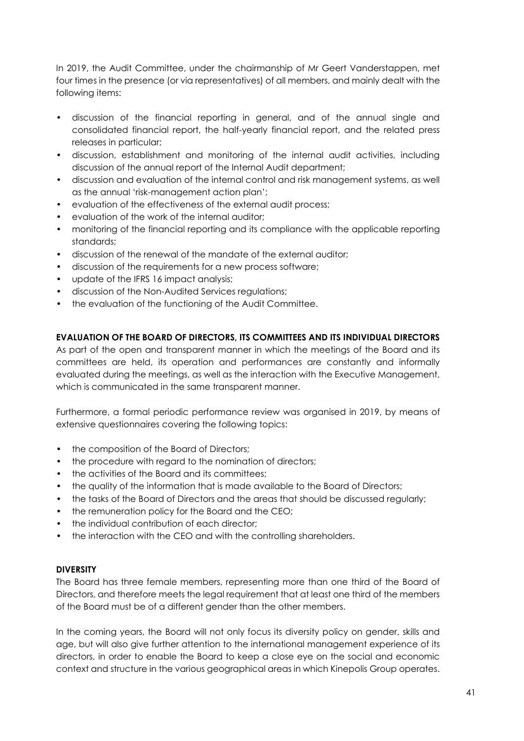In 2019, the Audit Committee, under the chairmanship of Mr Geert Vanderstappen, met four times in the presence (or via representatives) of all members, and mainly dealt with the following items:

- discussion of the financial reporting in general, and of the annual single and consolidated financial report, the half-yearly financial report, and the related press releases in particular;
- discussion, establishment and monitoring of the internal audit activities, including discussion of the annual report of the Internal Audit department;
- discussion and evaluation of the internal control and risk management systems, as well as the annual 'risk-management action plan';
- evaluation of the effectiveness of the external audit process;
- evaluation of the work of the internal auditor;
- monitoring of the financial reporting and its compliance with the applicable reporting standards;
- discussion of the renewal of the mandate of the external auditor;
- discussion of the requirements for a new process software;
- update of the IFRS 16 impact analysis;
- discussion of the Non-Audited Services regulations;
- the evaluation of the functioning of the Audit Committee.

## EVALUATION OF THE BOARD OF DIRECTORS, ITS COMMITTEES AND ITS INDIVIDUAL DIRECTORS

As part of the open and transparent manner in which the meetings of the Board and its committees are held, its operation and performances are constantly and informally evaluated during the meetings, as well as the interaction with the Executive Management, which is communicated in the same transparent manner.

Furthermore, a formal periodic performance review was organised in 2019, by means of extensive questionnaires covering the following topics:

- the composition of the Board of Directors;
- the procedure with regard to the nomination of directors;
- the activities of the Board and its committees;
- the quality of the information that is made available to the Board of Directors;
- the tasks of the Board of Directors and the areas that should be discussed regularly;
- the remuneration policy for the Board and the CEO;
- the individual contribution of each director;
- the interaction with the CEO and with the controlling shareholders.

#### **DIVERSITY**

The Board has three female members, representing more than one third of the Board of Directors, and therefore meets the legal requirement that at least one third of the members of the Board must be of a different gender than the other members.

In the coming years, the Board will not only focus its diversity policy on gender, skills and age, but will also give further attention to the international management experience of its directors, in order to enable the Board to keep a close eye on the social and economic context and structure in the various geographical areas in which Kinepolis Group operates.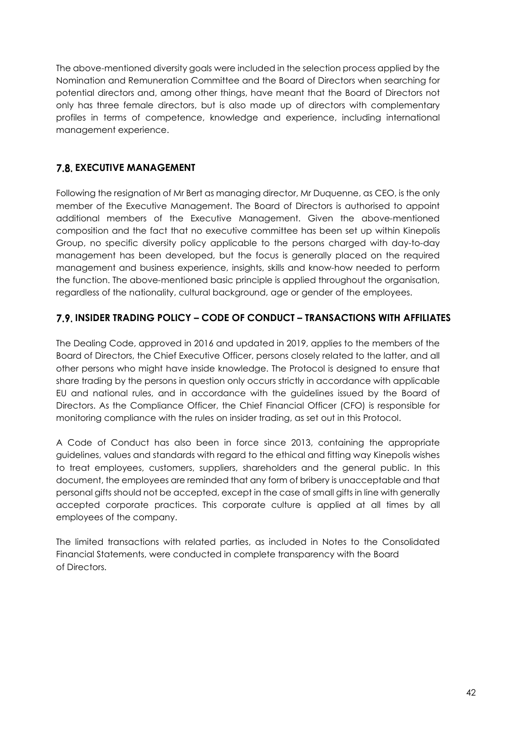The above-mentioned diversity goals were included in the selection process applied by the Nomination and Remuneration Committee and the Board of Directors when searching for potential directors and, among other things, have meant that the Board of Directors not only has three female directors, but is also made up of directors with complementary profiles in terms of competence, knowledge and experience, including international management experience.

# **7.8. EXECUTIVE MANAGEMENT**

Following the resignation of Mr Bert as managing director, Mr Duquenne, as CEO, is the only member of the Executive Management. The Board of Directors is authorised to appoint additional members of the Executive Management. Given the above-mentioned composition and the fact that no executive committee has been set up within Kinepolis Group, no specific diversity policy applicable to the persons charged with day-to-day management has been developed, but the focus is generally placed on the required management and business experience, insights, skills and know-how needed to perform the function. The above-mentioned basic principle is applied throughout the organisation, regardless of the nationality, cultural background, age or gender of the employees.

# 7.9. INSIDER TRADING POLICY – CODE OF CONDUCT – TRANSACTIONS WITH AFFILIATES

The Dealing Code, approved in 2016 and updated in 2019, applies to the members of the Board of Directors, the Chief Executive Officer, persons closely related to the latter, and all other persons who might have inside knowledge. The Protocol is designed to ensure that share trading by the persons in question only occurs strictly in accordance with applicable EU and national rules, and in accordance with the guidelines issued by the Board of Directors. As the Compliance Officer, the Chief Financial Officer (CFO) is responsible for monitoring compliance with the rules on insider trading, as set out in this Protocol.

A Code of Conduct has also been in force since 2013, containing the appropriate guidelines, values and standards with regard to the ethical and fitting way Kinepolis wishes to treat employees, customers, suppliers, shareholders and the general public. In this document, the employees are reminded that any form of bribery is unacceptable and that personal gifts should not be accepted, except in the case of small gifts in line with generally accepted corporate practices. This corporate culture is applied at all times by all employees of the company.

The limited transactions with related parties, as included in Notes to the Consolidated Financial Statements, were conducted in complete transparency with the Board of Directors.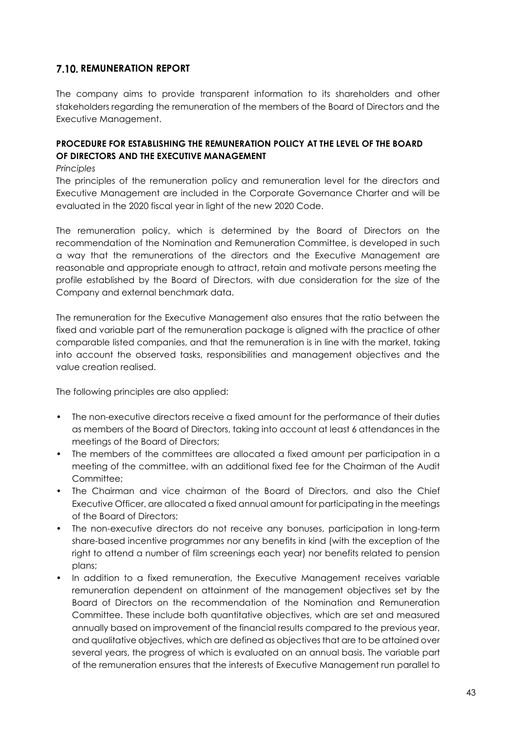## 7.10. REMUNERATION REPORT

The company aims to provide transparent information to its shareholders and other stakeholders regarding the remuneration of the members of the Board of Directors and the Executive Management.

## PROCEDURE FOR ESTABLISHING THE REMUNERATION POLICY AT THE LEVEL OF THE BOARD OF DIRECTORS AND THE EXECUTIVE MANAGEMENT

#### Principles

The principles of the remuneration policy and remuneration level for the directors and Executive Management are included in the Corporate Governance Charter and will be evaluated in the 2020 fiscal year in light of the new 2020 Code.

The remuneration policy, which is determined by the Board of Directors on the recommendation of the Nomination and Remuneration Committee, is developed in such a way that the remunerations of the directors and the Executive Management are reasonable and appropriate enough to attract, retain and motivate persons meeting the profile established by the Board of Directors, with due consideration for the size of the Company and external benchmark data.

The remuneration for the Executive Management also ensures that the ratio between the fixed and variable part of the remuneration package is aligned with the practice of other comparable listed companies, and that the remuneration is in line with the market, taking into account the observed tasks, responsibilities and management objectives and the value creation realised.

The following principles are also applied:

- The non-executive directors receive a fixed amount for the performance of their duties as members of the Board of Directors, taking into account at least 6 attendances in the meetings of the Board of Directors;
- The members of the committees are allocated a fixed amount per participation in a meeting of the committee, with an additional fixed fee for the Chairman of the Audit Committee:
- The Chairman and vice chairman of the Board of Directors, and also the Chief Executive Officer, are allocated a fixed annual amount for participating in the meetings of the Board of Directors;
- The non-executive directors do not receive any bonuses, participation in long-term share-based incentive programmes nor any benefits in kind (with the exception of the right to attend a number of film screenings each year) nor benefits related to pension plans;
- In addition to a fixed remuneration, the Executive Management receives variable remuneration dependent on attainment of the management objectives set by the Board of Directors on the recommendation of the Nomination and Remuneration Committee. These include both quantitative objectives, which are set and measured annually based on improvement of the financial results compared to the previous year, and qualitative objectives, which are defined as objectives that are to be attained over several years, the progress of which is evaluated on an annual basis. The variable part of the remuneration ensures that the interests of Executive Management run parallel to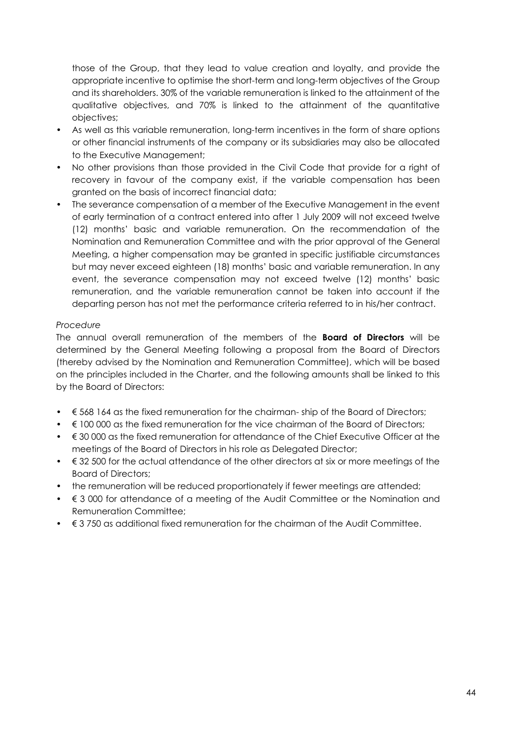those of the Group, that they lead to value creation and loyalty, and provide the appropriate incentive to optimise the short-term and long-term objectives of the Group and its shareholders. 30% of the variable remuneration is linked to the attainment of the qualitative objectives, and 70% is linked to the attainment of the quantitative objectives;

- As well as this variable remuneration, long-term incentives in the form of share options or other financial instruments of the company or its subsidiaries may also be allocated to the Executive Management;
- No other provisions than those provided in the Civil Code that provide for a right of recovery in favour of the company exist, if the variable compensation has been granted on the basis of incorrect financial data;
- The severance compensation of a member of the Executive Management in the event of early termination of a contract entered into after 1 July 2009 will not exceed twelve (12) months' basic and variable remuneration. On the recommendation of the Nomination and Remuneration Committee and with the prior approval of the General Meeting, a higher compensation may be granted in specific justifiable circumstances but may never exceed eighteen (18) months' basic and variable remuneration. In any event, the severance compensation may not exceed twelve (12) months' basic remuneration, and the variable remuneration cannot be taken into account if the departing person has not met the performance criteria referred to in his/her contract.

#### Procedure

The annual overall remuneration of the members of the **Board of Directors** will be determined by the General Meeting following a proposal from the Board of Directors (thereby advised by the Nomination and Remuneration Committee), which will be based on the principles included in the Charter, and the following amounts shall be linked to this by the Board of Directors:

- $\bullet$   $\in$  568 164 as the fixed remuneration for the chairman-ship of the Board of Directors;
- $\leq$  100 000 as the fixed remuneration for the vice chairman of the Board of Directors;
- $\bullet$   $\in$  30 000 as the fixed remuneration for attendance of the Chief Executive Officer at the meetings of the Board of Directors in his role as Delegated Director;
- $\cdot \in$  32 500 for the actual attendance of the other directors at six or more meetings of the Board of Directors;
- the remuneration will be reduced proportionately if fewer meetings are attended;
- $\bullet$   $\in$  3 000 for attendance of a meeting of the Audit Committee or the Nomination and Remuneration Committee;
- $\cdot \in$  3.750 as additional fixed remuneration for the chairman of the Audit Committee.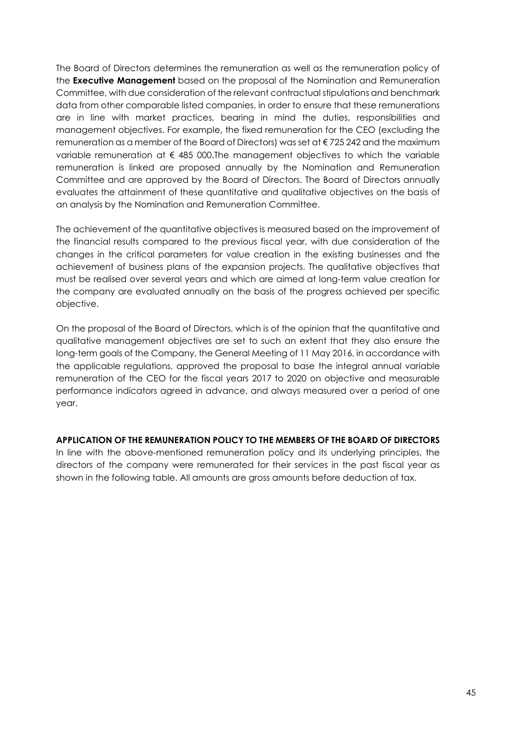The Board of Directors determines the remuneration as well as the remuneration policy of the Executive Management based on the proposal of the Nomination and Remuneration Committee, with due consideration of the relevant contractual stipulations and benchmark data from other comparable listed companies, in order to ensure that these remunerations are in line with market practices, bearing in mind the duties, responsibilities and management objectives. For example, the fixed remuneration for the CEO (excluding the remuneration as a member of the Board of Directors) was set at € 725 242 and the maximum variable remuneration at  $\epsilon$  485 000. The management objectives to which the variable remuneration is linked are proposed annually by the Nomination and Remuneration Committee and are approved by the Board of Directors. The Board of Directors annually evaluates the attainment of these quantitative and qualitative objectives on the basis of an analysis by the Nomination and Remuneration Committee.

The achievement of the quantitative objectives is measured based on the improvement of the financial results compared to the previous fiscal year, with due consideration of the changes in the critical parameters for value creation in the existing businesses and the achievement of business plans of the expansion projects. The qualitative objectives that must be realised over several years and which are aimed at long-term value creation for the company are evaluated annually on the basis of the progress achieved per specific objective.

On the proposal of the Board of Directors, which is of the opinion that the quantitative and qualitative management objectives are set to such an extent that they also ensure the long-term goals of the Company, the General Meeting of 11 May 2016, in accordance with the applicable regulations, approved the proposal to base the integral annual variable remuneration of the CEO for the fiscal years 2017 to 2020 on objective and measurable performance indicators agreed in advance, and always measured over a period of one year.

#### APPLICATION OF THE REMUNERATION POLICY TO THE MEMBERS OF THE BOARD OF DIRECTORS

In line with the above-mentioned remuneration policy and its underlying principles, the directors of the company were remunerated for their services in the past fiscal year as shown in the following table. All amounts are gross amounts before deduction of tax.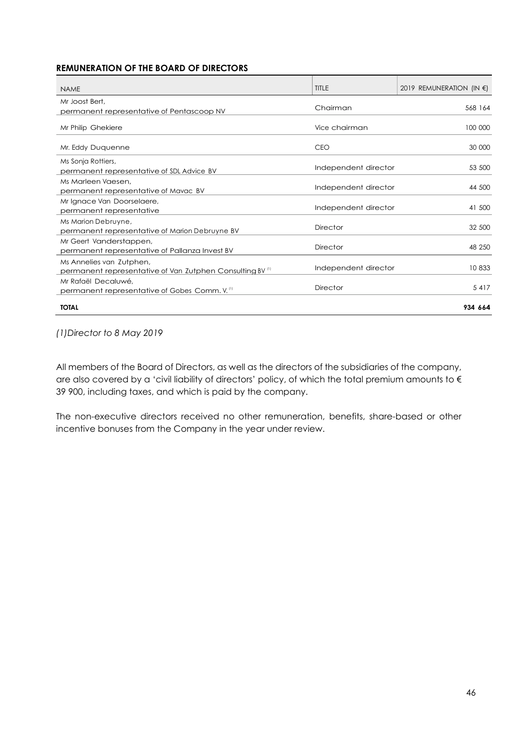#### REMUNERATION OF THE BOARD OF DIRECTORS

| <b>NAME</b>                                                                                      | <b>TITLE</b>         | 2019 REMUNERATION (IN $\epsilon$ ) |
|--------------------------------------------------------------------------------------------------|----------------------|------------------------------------|
| Mr Joost Bert.<br>permanent representative of Pentascoop NV                                      | Chairman             | 568 164                            |
| Mr Philip Ghekiere                                                                               | Vice chairman        | 100 000                            |
| Mr. Eddy Duquenne                                                                                | <b>CEO</b>           | 30 000                             |
| Ms Sonja Rottiers,<br>permanent representative of SDL Advice BV                                  | Independent director | 53 500                             |
| Ms Marleen Vaesen,<br>permanent representative of Mavac BV                                       | Independent director | 44 500                             |
| Mr Ignace Van Doorselaere,<br>permanent representative                                           | Independent director | 41 500                             |
| Ms Marion Debruyne,<br>permanent representative of Marion Debruyne BV                            | Director             | 32 500                             |
| Mr Geert Vanderstappen,<br>permanent representative of Pallanza Invest BV                        | <b>Director</b>      | 48 250                             |
| Ms Annelies van Zutphen,<br>permanent representative of Van Zutphen Consulting BV <sup>(1)</sup> | Independent director | 10833                              |
| Mr Rafaël Decaluwé.<br>permanent representative of Gobes Comm. V. <sup>(1)</sup>                 | <b>Director</b>      | 5417                               |
| <b>TOTAL</b>                                                                                     |                      | 934 664                            |

#### (1)Director to 8 May 2019

All members of the Board of Directors, as well as the directors of the subsidiaries of the company, are also covered by a 'civil liability of directors' policy, of which the total premium amounts to € 39 900, including taxes, and which is paid by the company.

The non-executive directors received no other remuneration, benefits, share-based or other incentive bonuses from the Company in the year under review.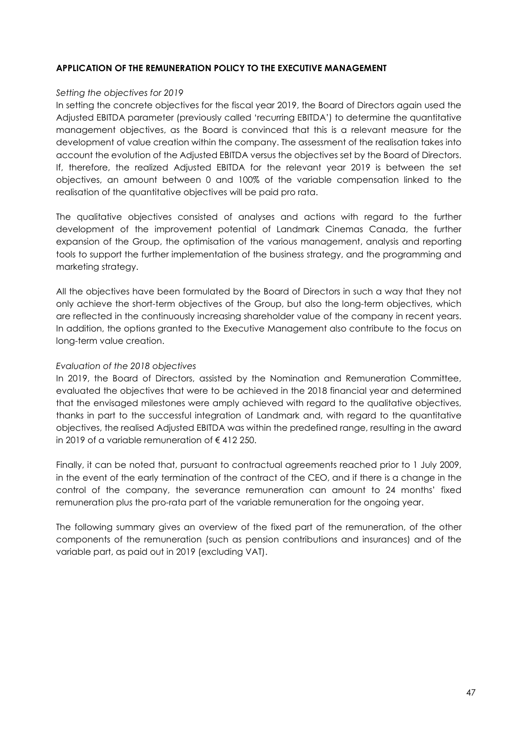#### APPLICATION OF THE REMUNERATION POLICY TO THE EXECUTIVE MANAGEMENT

#### Setting the objectives for 2019

In setting the concrete objectives for the fiscal year 2019, the Board of Directors again used the Adjusted EBITDA parameter (previously called 'recurring EBITDA') to determine the quantitative management objectives, as the Board is convinced that this is a relevant measure for the development of value creation within the company. The assessment of the realisation takes into account the evolution of the Adjusted EBITDA versus the objectives set by the Board of Directors. If, therefore, the realized Adjusted EBITDA for the relevant year 2019 is between the set objectives, an amount between 0 and 100% of the variable compensation linked to the realisation of the quantitative objectives will be paid pro rata.

The qualitative objectives consisted of analyses and actions with regard to the further development of the improvement potential of Landmark Cinemas Canada, the further expansion of the Group, the optimisation of the various management, analysis and reporting tools to support the further implementation of the business strategy, and the programming and marketing strategy.

All the objectives have been formulated by the Board of Directors in such a way that they not only achieve the short-term objectives of the Group, but also the long-term objectives, which are reflected in the continuously increasing shareholder value of the company in recent years. In addition, the options granted to the Executive Management also contribute to the focus on long-term value creation.

#### Evaluation of the 2018 objectives

In 2019, the Board of Directors, assisted by the Nomination and Remuneration Committee, evaluated the objectives that were to be achieved in the 2018 financial year and determined that the envisaged milestones were amply achieved with regard to the qualitative objectives, thanks in part to the successful integration of Landmark and, with regard to the quantitative objectives, the realised Adjusted EBITDA was within the predefined range, resulting in the award in 2019 of a variable remuneration of € 412 250.

Finally, it can be noted that, pursuant to contractual agreements reached prior to 1 July 2009, in the event of the early termination of the contract of the CEO, and if there is a change in the control of the company, the severance remuneration can amount to 24 months' fixed remuneration plus the pro-rata part of the variable remuneration for the ongoing year.

The following summary gives an overview of the fixed part of the remuneration, of the other components of the remuneration (such as pension contributions and insurances) and of the variable part, as paid out in 2019 (excluding VAT).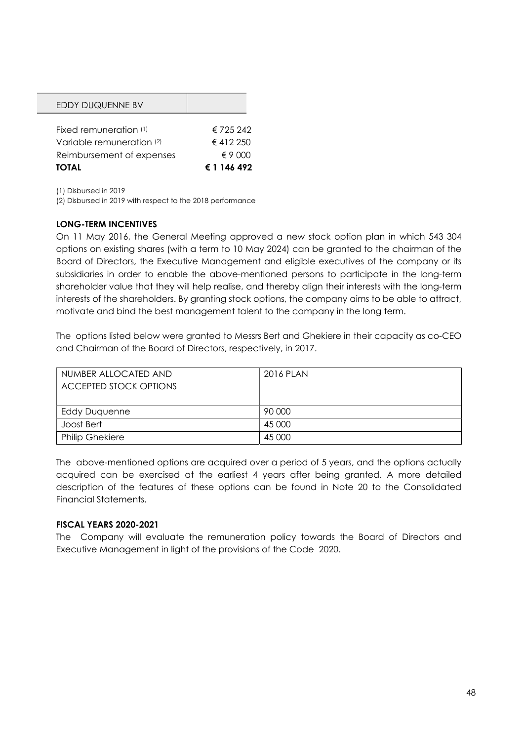| EDDY DUQUENNE BV          |                |
|---------------------------|----------------|
|                           |                |
| Fixed remuneration (1)    | € 725 242      |
| Variable remuneration (2) | €412250        |
| Reimbursement of expenses | $\notin$ 9 000 |
| TOTAL                     | € 1 146 492    |

(1) Disbursed in 2019

(2) Disbursed in 2019 with respect to the 2018 performance

#### LONG-TERM INCENTIVES

On 11 May 2016, the General Meeting approved a new stock option plan in which 543 304 options on existing shares (with a term to 10 May 2024) can be granted to the chairman of the Board of Directors, the Executive Management and eligible executives of the company or its subsidiaries in order to enable the above-mentioned persons to participate in the long-term shareholder value that they will help realise, and thereby align their interests with the long-term interests of the shareholders. By granting stock options, the company aims to be able to attract, motivate and bind the best management talent to the company in the long term.

The options listed below were granted to Messrs Bert and Ghekiere in their capacity as co-CEO and Chairman of the Board of Directors, respectively, in 2017.

| NUMBER ALLOCATED AND<br><b>ACCEPTED STOCK OPTIONS</b> | 2016 PLAN |
|-------------------------------------------------------|-----------|
| <b>Eddy Duquenne</b>                                  | 90 000    |
| Joost Bert                                            | 45 000    |
| <b>Philip Ghekiere</b>                                | 45 000    |

The above-mentioned options are acquired over a period of 5 years, and the options actually acquired can be exercised at the earliest 4 years after being granted. A more detailed description of the features of these options can be found in Note 20 to the Consolidated Financial Statements.

#### FISCAL YEARS 2020-2021

The Company will evaluate the remuneration policy towards the Board of Directors and Executive Management in light of the provisions of the Code 2020.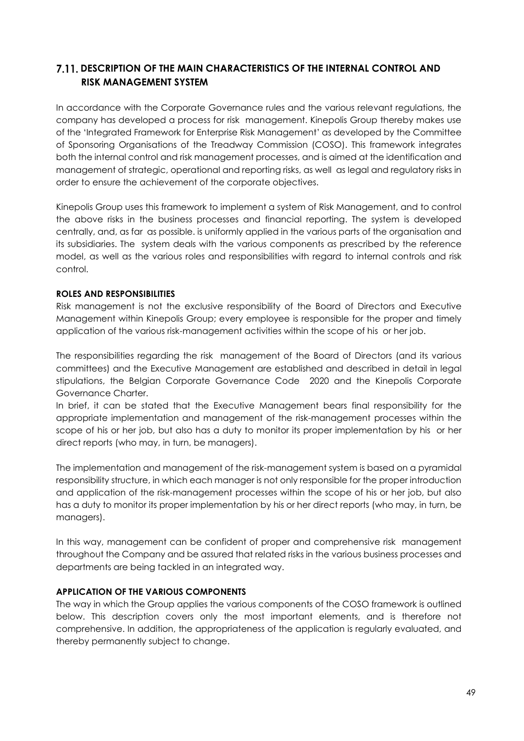# 7.11. DESCRIPTION OF THE MAIN CHARACTERISTICS OF THE INTERNAL CONTROL AND RISK MANAGEMENT SYSTEM

In accordance with the Corporate Governance rules and the various relevant regulations, the company has developed a process for risk management. Kinepolis Group thereby makes use of the 'Integrated Framework for Enterprise Risk Management' as developed by the Committee of Sponsoring Organisations of the Treadway Commission (COSO). This framework integrates both the internal control and risk management processes, and is aimed at the identification and management of strategic, operational and reporting risks, as well as legal and regulatory risks in order to ensure the achievement of the corporate objectives.

Kinepolis Group uses this framework to implement a system of Risk Management, and to control the above risks in the business processes and financial reporting. The system is developed centrally, and, as far as possible. is uniformly applied in the various parts of the organisation and its subsidiaries. The system deals with the various components as prescribed by the reference model, as well as the various roles and responsibilities with regard to internal controls and risk control.

## ROLES AND RESPONSIBILITIES

Risk management is not the exclusive responsibility of the Board of Directors and Executive Management within Kinepolis Group; every employee is responsible for the proper and timely application of the various risk-management activities within the scope of his or her job.

The responsibilities regarding the risk management of the Board of Directors (and its various committees) and the Executive Management are established and described in detail in legal stipulations, the Belgian Corporate Governance Code 2020 and the Kinepolis Corporate Governance Charter.

In brief, it can be stated that the Executive Management bears final responsibility for the appropriate implementation and management of the risk-management processes within the scope of his or her job, but also has a duty to monitor its proper implementation by his or her direct reports (who may, in turn, be managers).

The implementation and management of the risk-management system is based on a pyramidal responsibility structure, in which each manager is not only responsible for the proper introduction and application of the risk-management processes within the scope of his or her job, but also has a duty to monitor its proper implementation by his or her direct reports (who may, in turn, be managers).

In this way, management can be confident of proper and comprehensive risk management throughout the Company and be assured that related risks in the various business processes and departments are being tackled in an integrated way.

## APPLICATION OF THE VARIOUS COMPONENTS

The way in which the Group applies the various components of the COSO framework is outlined below. This description covers only the most important elements, and is therefore not comprehensive. In addition, the appropriateness of the application is regularly evaluated, and thereby permanently subject to change.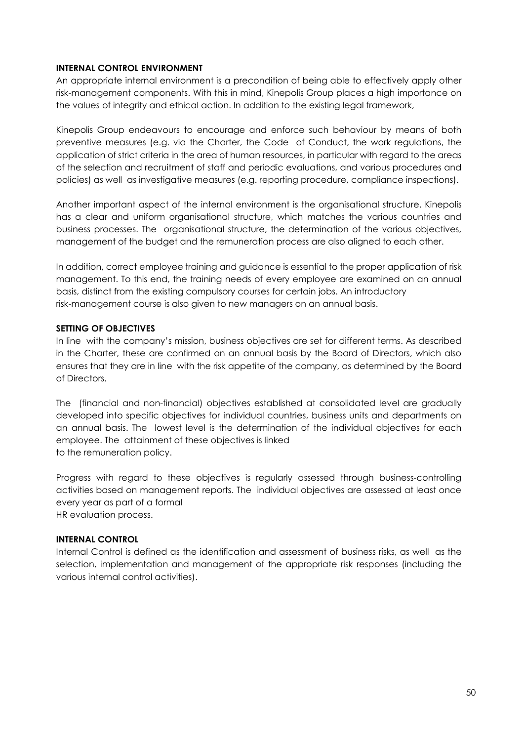#### INTERNAL CONTROL ENVIRONMENT

An appropriate internal environment is a precondition of being able to effectively apply other risk-management components. With this in mind, Kinepolis Group places a high importance on the values of integrity and ethical action. In addition to the existing legal framework,

Kinepolis Group endeavours to encourage and enforce such behaviour by means of both preventive measures (e.g. via the Charter, the Code of Conduct, the work regulations, the application of strict criteria in the area of human resources, in particular with regard to the areas of the selection and recruitment of staff and periodic evaluations, and various procedures and policies) as well as investigative measures (e.g. reporting procedure, compliance inspections).

Another important aspect of the internal environment is the organisational structure. Kinepolis has a clear and uniform organisational structure, which matches the various countries and business processes. The organisational structure, the determination of the various objectives, management of the budget and the remuneration process are also aligned to each other.

In addition, correct employee training and guidance is essential to the proper application of risk management. To this end, the training needs of every employee are examined on an annual basis, distinct from the existing compulsory courses for certain jobs. An introductory risk-management course is also given to new managers on an annual basis.

#### SETTING OF OBJECTIVES

In line with the company's mission, business objectives are set for different terms. As described in the Charter, these are confirmed on an annual basis by the Board of Directors, which also ensures that they are in line with the risk appetite of the company, as determined by the Board of Directors.

The (financial and non-financial) objectives established at consolidated level are gradually developed into specific objectives for individual countries, business units and departments on an annual basis. The lowest level is the determination of the individual objectives for each employee. The attainment of these objectives is linked to the remuneration policy.

Progress with regard to these objectives is regularly assessed through business-controlling activities based on management reports. The individual objectives are assessed at least once every year as part of a formal

HR evaluation process.

#### INTERNAL CONTROL

Internal Control is defined as the identification and assessment of business risks, as well as the selection, implementation and management of the appropriate risk responses (including the various internal control activities).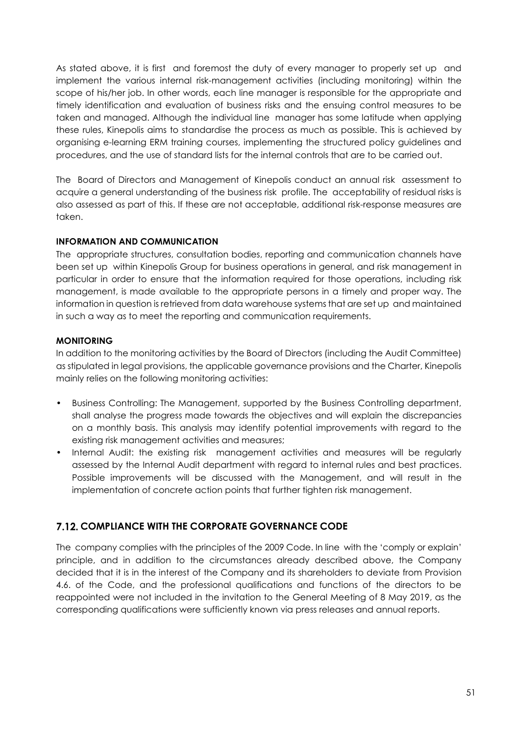As stated above, it is first and foremost the duty of every manager to properly set up and implement the various internal risk-management activities (including monitoring) within the scope of his/her job. In other words, each line manager is responsible for the appropriate and timely identification and evaluation of business risks and the ensuing control measures to be taken and managed. Although the individual line manager has some latitude when applying these rules, Kinepolis aims to standardise the process as much as possible. This is achieved by organising e-learning ERM training courses, implementing the structured policy guidelines and procedures, and the use of standard lists for the internal controls that are to be carried out.

The Board of Directors and Management of Kinepolis conduct an annual risk assessment to acquire a general understanding of the business risk profile. The acceptability of residual risks is also assessed as part of this. If these are not acceptable, additional risk-response measures are taken.

## INFORMATION AND COMMUNICATION

The appropriate structures, consultation bodies, reporting and communication channels have been set up within Kinepolis Group for business operations in general, and risk management in particular in order to ensure that the information required for those operations, including risk management, is made available to the appropriate persons in a timely and proper way. The information in question is retrieved from data warehouse systems that are set up and maintained in such a way as to meet the reporting and communication requirements.

## MONITORING

In addition to the monitoring activities by the Board of Directors (including the Audit Committee) as stipulated in legal provisions, the applicable governance provisions and the Charter, Kinepolis mainly relies on the following monitoring activities:

- Business Controlling: The Management, supported by the Business Controlling department, shall analyse the progress made towards the objectives and will explain the discrepancies on a monthly basis. This analysis may identify potential improvements with regard to the existing risk management activities and measures;
- Internal Audit: the existing risk management activities and measures will be regularly assessed by the Internal Audit department with regard to internal rules and best practices. Possible improvements will be discussed with the Management, and will result in the implementation of concrete action points that further tighten risk management.

# **7.12. COMPLIANCE WITH THE CORPORATE GOVERNANCE CODE**

The company complies with the principles of the 2009 Code. In line with the 'comply or explain' principle, and in addition to the circumstances already described above, the Company decided that it is in the interest of the Company and its shareholders to deviate from Provision 4.6. of the Code, and the professional qualifications and functions of the directors to be reappointed were not included in the invitation to the General Meeting of 8 May 2019, as the corresponding qualifications were sufficiently known via press releases and annual reports.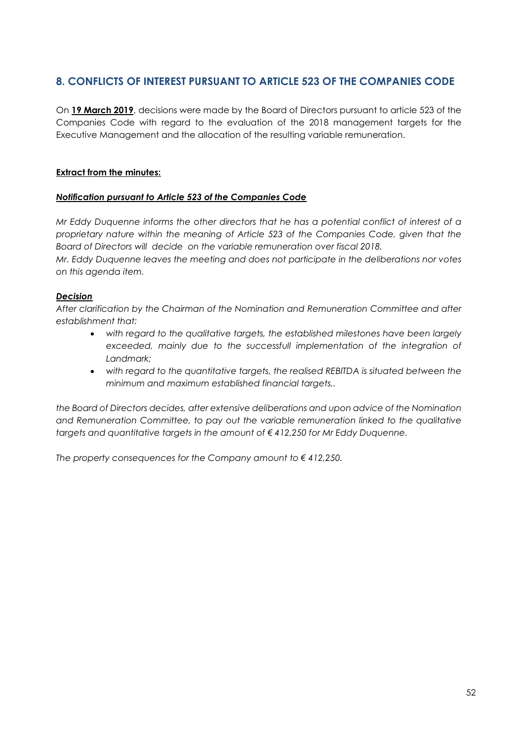# 8. CONFLICTS OF INTEREST PURSUANT TO ARTICLE 523 OF THE COMPANIES CODE

On 19 March 2019, decisions were made by the Board of Directors pursuant to article 523 of the Companies Code with regard to the evaluation of the 2018 management targets for the Executive Management and the allocation of the resulting variable remuneration.

## Extract from the minutes:

#### Notification pursuant to Article 523 of the Companies Code

Mr Eddy Duquenne informs the other directors that he has a potential conflict of interest of a proprietary nature within the meaning of Article 523 of the Companies Code, given that the Board of Directors will decide on the variable remuneration over fiscal 2018.

Mr. Eddy Duquenne leaves the meeting and does not participate in the deliberations nor votes on this agenda item.

#### Decision

After clarification by the Chairman of the Nomination and Remuneration Committee and after establishment that:

- with regard to the qualitative targets, the established milestones have been largely exceeded, mainly due to the successfull implementation of the integration of Landmark;
- with regard to the quantitative targets, the realised REBITDA is situated between the minimum and maximum established financial targets..

the Board of Directors decides, after extensive deliberations and upon advice of the Nomination and Remuneration Committee, to pay out the variable remuneration linked to the qualitative targets and quantitative targets in the amount of  $\epsilon$  412,250 for Mr Eddy Duquenne.

The property consequences for the Company amount to  $\epsilon$  412,250.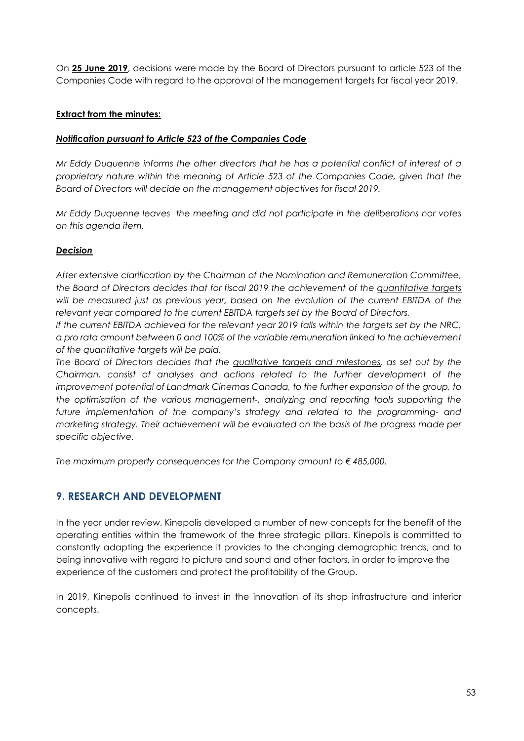On 25 June 2019, decisions were made by the Board of Directors pursuant to article 523 of the Companies Code with regard to the approval of the management targets for fiscal year 2019.

## Extract from the minutes:

#### Notification pursuant to Article 523 of the Companies Code

Mr Eddy Duquenne informs the other directors that he has a potential conflict of interest of a proprietary nature within the meaning of Article 523 of the Companies Code, given that the Board of Directors will decide on the management objectives for fiscal 2019.

Mr Eddy Duquenne leaves the meeting and did not participate in the deliberations nor votes on this agenda item.

## **Decision**

After extensive clarification by the Chairman of the Nomination and Remuneration Committee, the Board of Directors decides that for fiscal 2019 the achievement of the quantitative targets will be measured just as previous year, based on the evolution of the current EBITDA of the relevant year compared to the current EBITDA targets set by the Board of Directors.

If the current EBITDA achieved for the relevant year 2019 falls within the targets set by the NRC, a pro rata amount between 0 and 100% of the variable remuneration linked to the achievement of the quantitative targets will be paid.

The Board of Directors decides that the qualitative targets and milestones, as set out by the Chairman, consist of analyses and actions related to the further development of the improvement potential of Landmark Cinemas Canada, to the further expansion of the group, to the optimisation of the various management-, analyzing and reporting tools supporting the future implementation of the company's strategy and related to the programming- and marketing strategy. Their achievement will be evaluated on the basis of the progress made per specific objective.

The maximum property consequences for the Company amount to  $\epsilon$  485,000.

# 9. RESEARCH AND DEVELOPMENT

In the year under review, Kinepolis developed a number of new concepts for the benefit of the operating entities within the framework of the three strategic pillars. Kinepolis is committed to constantly adapting the experience it provides to the changing demographic trends, and to being innovative with regard to picture and sound and other factors, in order to improve the experience of the customers and protect the profitability of the Group.

In 2019, Kinepolis continued to invest in the innovation of its shop infrastructure and interior concepts.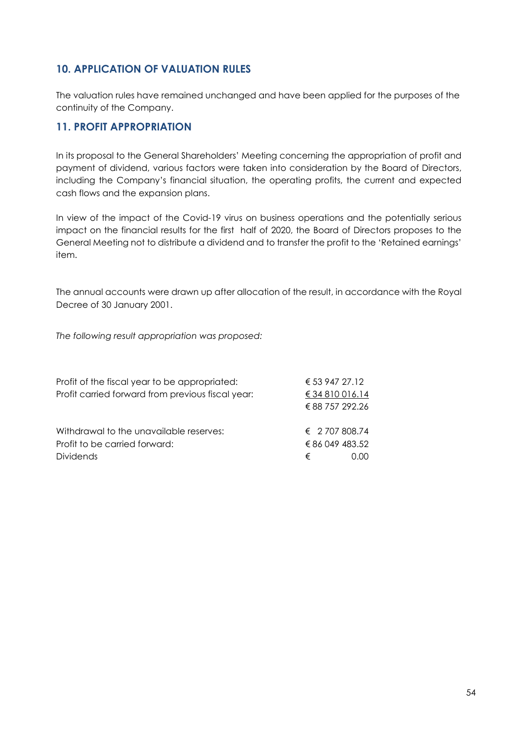# 10. APPLICATION OF VALUATION RULES

The valuation rules have remained unchanged and have been applied for the purposes of the continuity of the Company.

# 11. PROFIT APPROPRIATION

In its proposal to the General Shareholders' Meeting concerning the appropriation of profit and payment of dividend, various factors were taken into consideration by the Board of Directors, including the Company's financial situation, the operating profits, the current and expected cash flows and the expansion plans.

In view of the impact of the Covid-19 virus on business operations and the potentially serious impact on the financial results for the first half of 2020, the Board of Directors proposes to the General Meeting not to distribute a dividend and to transfer the profit to the 'Retained earnings' item.

The annual accounts were drawn up after allocation of the result, in accordance with the Royal Decree of 30 January 2001.

The following result appropriation was proposed:

| Profit of the fiscal year to be appropriated:     | € 53 947 27.12          |      |
|---------------------------------------------------|-------------------------|------|
| Profit carried forward from previous fiscal year: | € 34 810 016.14         |      |
|                                                   | € 88 757 292.26         |      |
| Withdrawal to the unavailable reserves:           | $\epsilon$ 2.707.808.74 |      |
| Profit to be carried forward:                     | € 86 049 483.52         |      |
| <b>Dividends</b>                                  | €                       | n nn |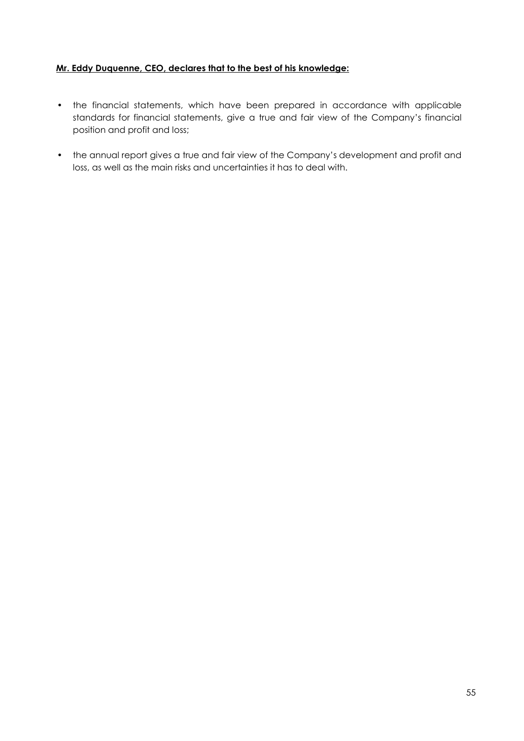# Mr. Eddy Duquenne, CEO, declares that to the best of his knowledge:

- the financial statements, which have been prepared in accordance with applicable standards for financial statements, give a true and fair view of the Company's financial position and profit and loss;
- the annual report gives a true and fair view of the Company's development and profit and loss, as well as the main risks and uncertainties it has to deal with.